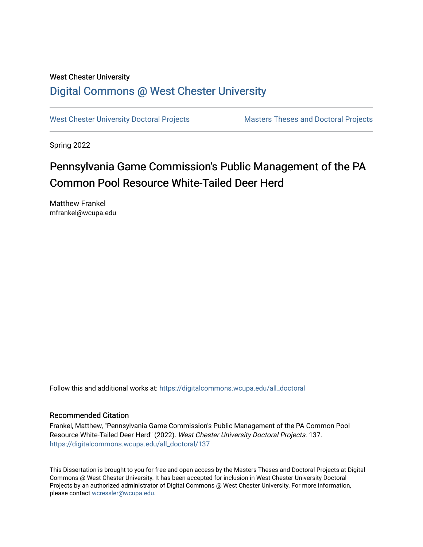# West Chester University [Digital Commons @ West Chester University](https://digitalcommons.wcupa.edu/)

[West Chester University Doctoral Projects](https://digitalcommons.wcupa.edu/all_doctoral) Masters Theses and Doctoral Projects

Spring 2022

# Pennsylvania Game Commission's Public Management of the PA Common Pool Resource White-Tailed Deer Herd

Matthew Frankel mfrankel@wcupa.edu

Follow this and additional works at: [https://digitalcommons.wcupa.edu/all\\_doctoral](https://digitalcommons.wcupa.edu/all_doctoral?utm_source=digitalcommons.wcupa.edu%2Fall_doctoral%2F137&utm_medium=PDF&utm_campaign=PDFCoverPages) 

### Recommended Citation

Frankel, Matthew, "Pennsylvania Game Commission's Public Management of the PA Common Pool Resource White-Tailed Deer Herd" (2022). West Chester University Doctoral Projects. 137. [https://digitalcommons.wcupa.edu/all\\_doctoral/137](https://digitalcommons.wcupa.edu/all_doctoral/137?utm_source=digitalcommons.wcupa.edu%2Fall_doctoral%2F137&utm_medium=PDF&utm_campaign=PDFCoverPages) 

This Dissertation is brought to you for free and open access by the Masters Theses and Doctoral Projects at Digital Commons @ West Chester University. It has been accepted for inclusion in West Chester University Doctoral Projects by an authorized administrator of Digital Commons @ West Chester University. For more information, please contact [wcressler@wcupa.edu](mailto:wcressler@wcupa.edu).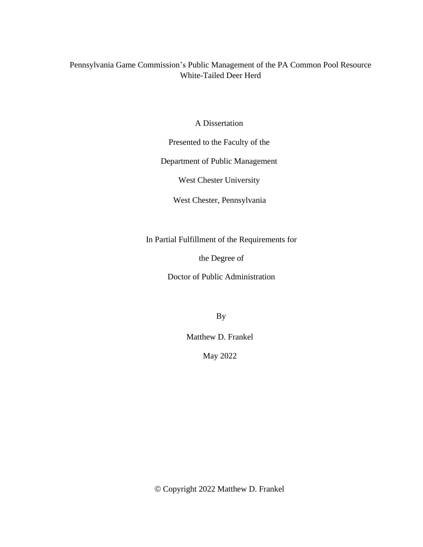## Pennsylvania Game Commission's Public Management of the PA Common Pool Resource White-Tailed Deer Herd

A Dissertation

Presented to the Faculty of the

Department of Public Management

West Chester University

West Chester, Pennsylvania

In Partial Fulfillment of the Requirements for

the Degree of

Doctor of Public Administration

By

Matthew D. Frankel

May 2022

© Copyright 2022 Matthew D. Frankel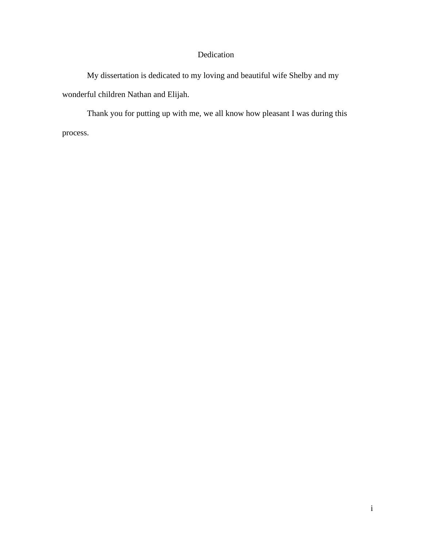# Dedication

My dissertation is dedicated to my loving and beautiful wife Shelby and my wonderful children Nathan and Elijah.

Thank you for putting up with me, we all know how pleasant I was during this process.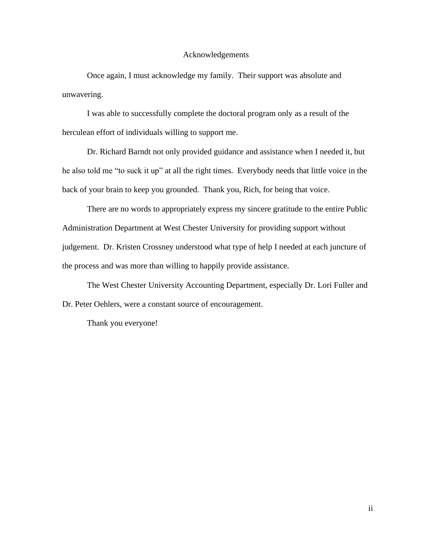#### Acknowledgements

Once again, I must acknowledge my family. Their support was absolute and unwavering.

I was able to successfully complete the doctoral program only as a result of the herculean effort of individuals willing to support me.

Dr. Richard Barndt not only provided guidance and assistance when I needed it, but he also told me "to suck it up" at all the right times. Everybody needs that little voice in the back of your brain to keep you grounded. Thank you, Rich, for being that voice.

There are no words to appropriately express my sincere gratitude to the entire Public Administration Department at West Chester University for providing support without judgement. Dr. Kristen Crossney understood what type of help I needed at each juncture of the process and was more than willing to happily provide assistance.

The West Chester University Accounting Department, especially Dr. Lori Fuller and Dr. Peter Oehlers, were a constant source of encouragement.

Thank you everyone!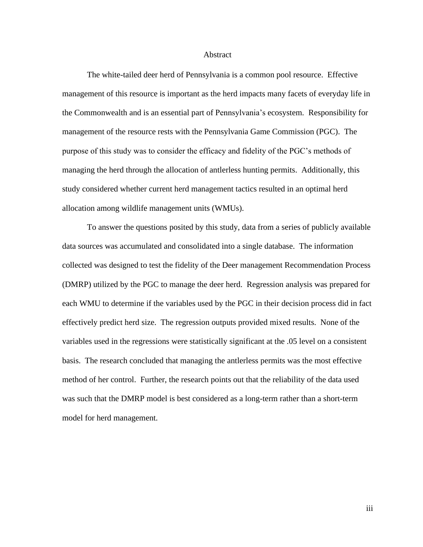#### Abstract

The white-tailed deer herd of Pennsylvania is a common pool resource. Effective management of this resource is important as the herd impacts many facets of everyday life in the Commonwealth and is an essential part of Pennsylvania's ecosystem. Responsibility for management of the resource rests with the Pennsylvania Game Commission (PGC). The purpose of this study was to consider the efficacy and fidelity of the PGC's methods of managing the herd through the allocation of antlerless hunting permits. Additionally, this study considered whether current herd management tactics resulted in an optimal herd allocation among wildlife management units (WMUs).

To answer the questions posited by this study, data from a series of publicly available data sources was accumulated and consolidated into a single database. The information collected was designed to test the fidelity of the Deer management Recommendation Process (DMRP) utilized by the PGC to manage the deer herd. Regression analysis was prepared for each WMU to determine if the variables used by the PGC in their decision process did in fact effectively predict herd size. The regression outputs provided mixed results. None of the variables used in the regressions were statistically significant at the .05 level on a consistent basis. The research concluded that managing the antlerless permits was the most effective method of her control. Further, the research points out that the reliability of the data used was such that the DMRP model is best considered as a long-term rather than a short-term model for herd management.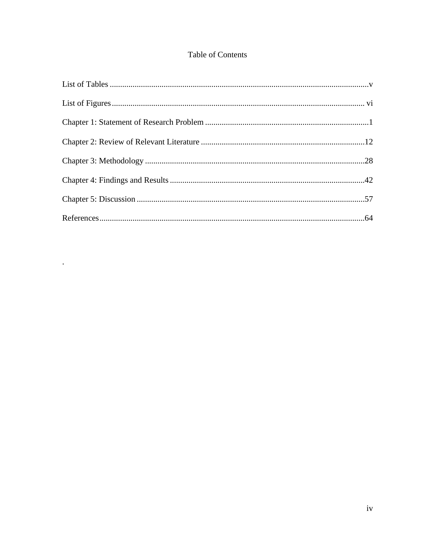# Table of Contents

 $\sim 10^{-10}$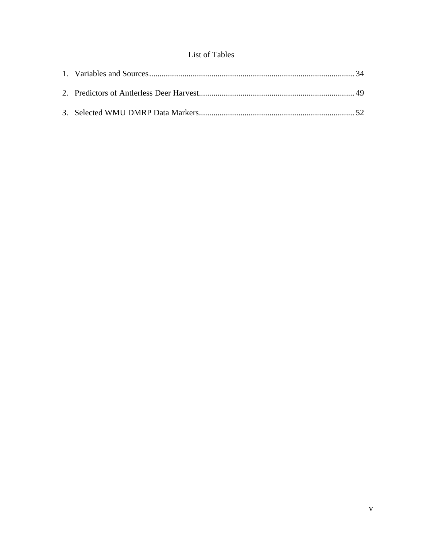## List of Tables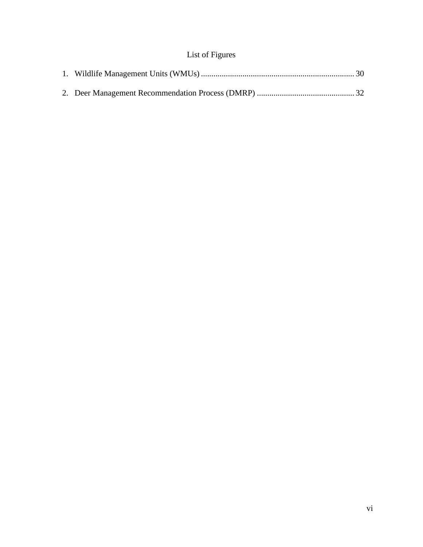# List of Figures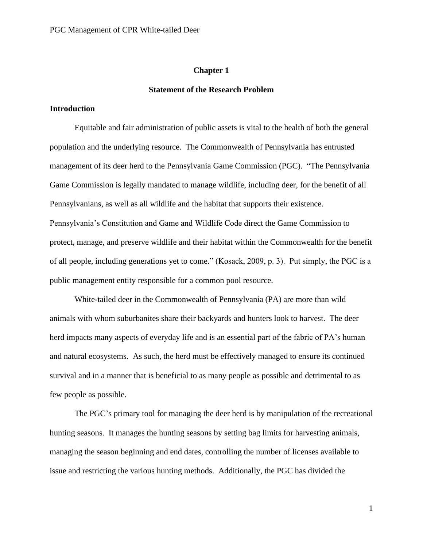#### **Chapter 1**

#### **Statement of the Research Problem**

#### **Introduction**

Equitable and fair administration of public assets is vital to the health of both the general population and the underlying resource. The Commonwealth of Pennsylvania has entrusted management of its deer herd to the Pennsylvania Game Commission (PGC). "The Pennsylvania Game Commission is legally mandated to manage wildlife, including deer, for the benefit of all Pennsylvanians, as well as all wildlife and the habitat that supports their existence. Pennsylvania's Constitution and Game and Wildlife Code direct the Game Commission to protect, manage, and preserve wildlife and their habitat within the Commonwealth for the benefit of all people, including generations yet to come." (Kosack, 2009, p. 3). Put simply, the PGC is a public management entity responsible for a common pool resource.

White-tailed deer in the Commonwealth of Pennsylvania (PA) are more than wild animals with whom suburbanites share their backyards and hunters look to harvest. The deer herd impacts many aspects of everyday life and is an essential part of the fabric of PA's human and natural ecosystems. As such, the herd must be effectively managed to ensure its continued survival and in a manner that is beneficial to as many people as possible and detrimental to as few people as possible.

The PGC's primary tool for managing the deer herd is by manipulation of the recreational hunting seasons. It manages the hunting seasons by setting bag limits for harvesting animals, managing the season beginning and end dates, controlling the number of licenses available to issue and restricting the various hunting methods. Additionally, the PGC has divided the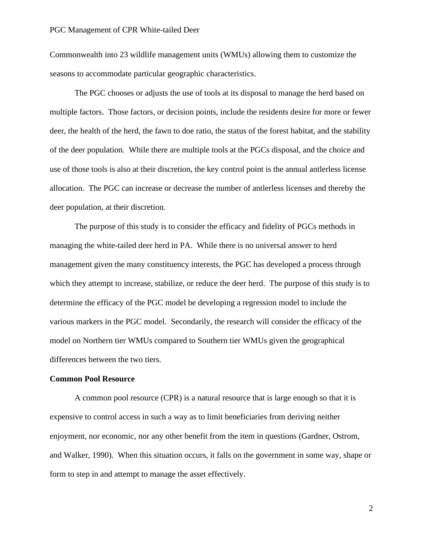Commonwealth into 23 wildlife management units (WMUs) allowing them to customize the seasons to accommodate particular geographic characteristics.

The PGC chooses or adjusts the use of tools at its disposal to manage the herd based on multiple factors. Those factors, or decision points, include the residents desire for more or fewer deer, the health of the herd, the fawn to doe ratio, the status of the forest habitat, and the stability of the deer population. While there are multiple tools at the PGCs disposal, and the choice and use of those tools is also at their discretion, the key control point is the annual antlerless license allocation. The PGC can increase or decrease the number of antlerless licenses and thereby the deer population, at their discretion.

The purpose of this study is to consider the efficacy and fidelity of PGCs methods in managing the white-tailed deer herd in PA. While there is no universal answer to herd management given the many constituency interests, the PGC has developed a process through which they attempt to increase, stabilize, or reduce the deer herd. The purpose of this study is to determine the efficacy of the PGC model be developing a regression model to include the various markers in the PGC model. Secondarily, the research will consider the efficacy of the model on Northern tier WMUs compared to Southern tier WMUs given the geographical differences between the two tiers.

#### **Common Pool Resource**

A common pool resource (CPR) is a natural resource that is large enough so that it is expensive to control access in such a way as to limit beneficiaries from deriving neither enjoyment, nor economic, nor any other benefit from the item in questions (Gardner, Ostrom, and Walker, 1990). When this situation occurs, it falls on the government in some way, shape or form to step in and attempt to manage the asset effectively.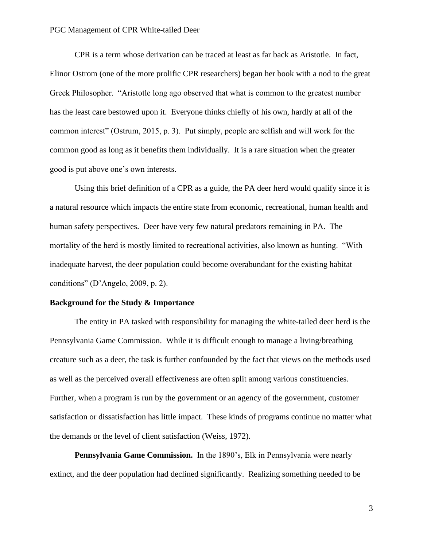CPR is a term whose derivation can be traced at least as far back as Aristotle. In fact, Elinor Ostrom (one of the more prolific CPR researchers) began her book with a nod to the great Greek Philosopher. "Aristotle long ago observed that what is common to the greatest number has the least care bestowed upon it. Everyone thinks chiefly of his own, hardly at all of the common interest" (Ostrum, 2015, p. 3). Put simply, people are selfish and will work for the common good as long as it benefits them individually. It is a rare situation when the greater good is put above one's own interests.

Using this brief definition of a CPR as a guide, the PA deer herd would qualify since it is a natural resource which impacts the entire state from economic, recreational, human health and human safety perspectives. Deer have very few natural predators remaining in PA. The mortality of the herd is mostly limited to recreational activities, also known as hunting. "With inadequate harvest, the deer population could become overabundant for the existing habitat conditions" (D'Angelo, 2009, p. 2).

#### **Background for the Study & Importance**

The entity in PA tasked with responsibility for managing the white-tailed deer herd is the Pennsylvania Game Commission. While it is difficult enough to manage a living/breathing creature such as a deer, the task is further confounded by the fact that views on the methods used as well as the perceived overall effectiveness are often split among various constituencies. Further, when a program is run by the government or an agency of the government, customer satisfaction or dissatisfaction has little impact. These kinds of programs continue no matter what the demands or the level of client satisfaction (Weiss, 1972).

**Pennsylvania Game Commission.** In the 1890's, Elk in Pennsylvania were nearly extinct, and the deer population had declined significantly. Realizing something needed to be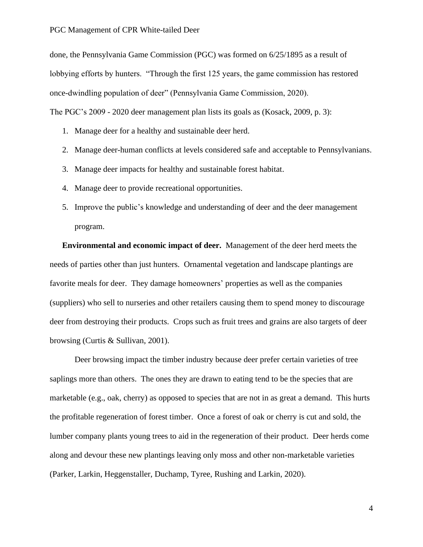done, the Pennsylvania Game Commission (PGC) was formed on 6/25/1895 as a result of lobbying efforts by hunters. "Through the first 125 years, the game commission has restored once-dwindling population of deer" (Pennsylvania Game Commission, 2020). The PGC's 2009 - 2020 deer management plan lists its goals as (Kosack, 2009, p. 3):

- 1. Manage deer for a healthy and sustainable deer herd.
- 2. Manage deer-human conflicts at levels considered safe and acceptable to Pennsylvanians.
- 3. Manage deer impacts for healthy and sustainable forest habitat.
- 4. Manage deer to provide recreational opportunities.
- 5. Improve the public's knowledge and understanding of deer and the deer management program.

**Environmental and economic impact of deer.** Management of the deer herd meets the needs of parties other than just hunters. Ornamental vegetation and landscape plantings are favorite meals for deer. They damage homeowners' properties as well as the companies (suppliers) who sell to nurseries and other retailers causing them to spend money to discourage deer from destroying their products. Crops such as fruit trees and grains are also targets of deer browsing (Curtis & Sullivan, 2001).

Deer browsing impact the timber industry because deer prefer certain varieties of tree saplings more than others. The ones they are drawn to eating tend to be the species that are marketable (e.g., oak, cherry) as opposed to species that are not in as great a demand. This hurts the profitable regeneration of forest timber. Once a forest of oak or cherry is cut and sold, the lumber company plants young trees to aid in the regeneration of their product. Deer herds come along and devour these new plantings leaving only moss and other non-marketable varieties (Parker, Larkin, Heggenstaller, Duchamp, Tyree, Rushing and Larkin, 2020).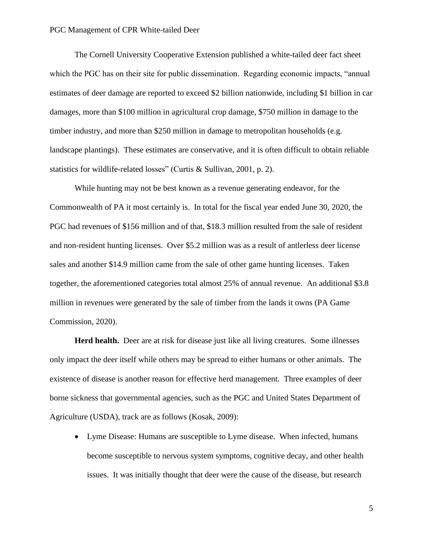The Cornell University Cooperative Extension published a white-tailed deer fact sheet which the PGC has on their site for public dissemination. Regarding economic impacts, "annual" estimates of deer damage are reported to exceed \$2 billion nationwide, including \$1 billion in car damages, more than \$100 million in agricultural crop damage, \$750 million in damage to the timber industry, and more than \$250 million in damage to metropolitan households (e.g. landscape plantings). These estimates are conservative, and it is often difficult to obtain reliable statistics for wildlife-related losses" (Curtis & Sullivan, 2001, p. 2).

While hunting may not be best known as a revenue generating endeavor, for the Commonwealth of PA it most certainly is. In total for the fiscal year ended June 30, 2020, the PGC had revenues of \$156 million and of that, \$18.3 million resulted from the sale of resident and non-resident hunting licenses. Over \$5.2 million was as a result of antlerless deer license sales and another \$14.9 million came from the sale of other game hunting licenses. Taken together, the aforementioned categories total almost 25% of annual revenue. An additional \$3.8 million in revenues were generated by the sale of timber from the lands it owns (PA Game Commission, 2020).

**Herd health.** Deer are at risk for disease just like all living creatures. Some illnesses only impact the deer itself while others may be spread to either humans or other animals. The existence of disease is another reason for effective herd management. Three examples of deer borne sickness that governmental agencies, such as the PGC and United States Department of Agriculture (USDA), track are as follows (Kosak, 2009):

• Lyme Disease: Humans are susceptible to Lyme disease. When infected, humans become susceptible to nervous system symptoms, cognitive decay, and other health issues. It was initially thought that deer were the cause of the disease, but research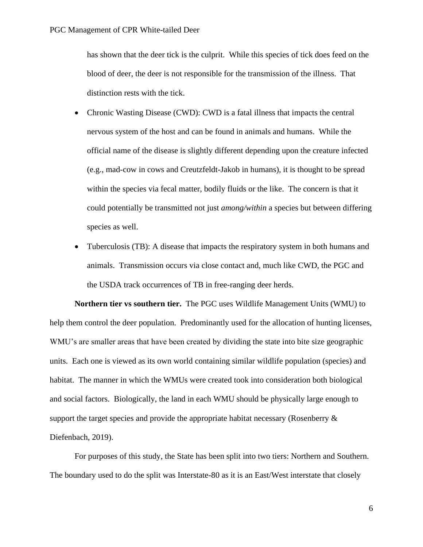has shown that the deer tick is the culprit. While this species of tick does feed on the blood of deer, the deer is not responsible for the transmission of the illness. That distinction rests with the tick.

- Chronic Wasting Disease (CWD): CWD is a fatal illness that impacts the central nervous system of the host and can be found in animals and humans. While the official name of the disease is slightly different depending upon the creature infected (e.g., mad-cow in cows and Creutzfeldt-Jakob in humans), it is thought to be spread within the species via fecal matter, bodily fluids or the like. The concern is that it could potentially be transmitted not just *among/within* a species but between differing species as well.
- Tuberculosis (TB): A disease that impacts the respiratory system in both humans and animals. Transmission occurs via close contact and, much like CWD, the PGC and the USDA track occurrences of TB in free-ranging deer herds.

**Northern tier vs southern tier.** The PGC uses Wildlife Management Units (WMU) to help them control the deer population. Predominantly used for the allocation of hunting licenses, WMU's are smaller areas that have been created by dividing the state into bite size geographic units. Each one is viewed as its own world containing similar wildlife population (species) and habitat. The manner in which the WMUs were created took into consideration both biological and social factors. Biologically, the land in each WMU should be physically large enough to support the target species and provide the appropriate habitat necessary (Rosenberry & Diefenbach, 2019).

For purposes of this study, the State has been split into two tiers: Northern and Southern. The boundary used to do the split was Interstate-80 as it is an East/West interstate that closely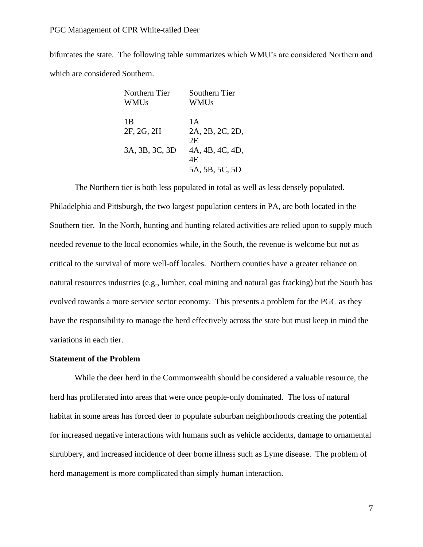bifurcates the state. The following table summarizes which WMU's are considered Northern and which are considered Southern.

| Northern Tier  | Southern Tier   |
|----------------|-----------------|
| <b>WMUs</b>    | WMUs            |
|                |                 |
| 1 B            | 1 A             |
| 2F, 2G, 2H     | 2A, 2B, 2C, 2D, |
|                | 2E              |
| 3A, 3B, 3C, 3D | 4A, 4B, 4C, 4D, |
|                | 4F.             |
|                | 5A, 5B, 5C, 5D  |

The Northern tier is both less populated in total as well as less densely populated. Philadelphia and Pittsburgh, the two largest population centers in PA, are both located in the Southern tier. In the North, hunting and hunting related activities are relied upon to supply much needed revenue to the local economies while, in the South, the revenue is welcome but not as critical to the survival of more well-off locales. Northern counties have a greater reliance on natural resources industries (e.g., lumber, coal mining and natural gas fracking) but the South has evolved towards a more service sector economy. This presents a problem for the PGC as they have the responsibility to manage the herd effectively across the state but must keep in mind the variations in each tier.

## **Statement of the Problem**

While the deer herd in the Commonwealth should be considered a valuable resource, the herd has proliferated into areas that were once people-only dominated. The loss of natural habitat in some areas has forced deer to populate suburban neighborhoods creating the potential for increased negative interactions with humans such as vehicle accidents, damage to ornamental shrubbery, and increased incidence of deer borne illness such as Lyme disease. The problem of herd management is more complicated than simply human interaction.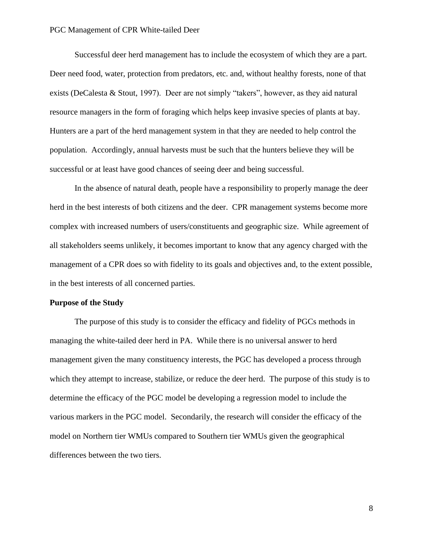Successful deer herd management has to include the ecosystem of which they are a part. Deer need food, water, protection from predators, etc. and, without healthy forests, none of that exists (DeCalesta & Stout, 1997). Deer are not simply "takers", however, as they aid natural resource managers in the form of foraging which helps keep invasive species of plants at bay. Hunters are a part of the herd management system in that they are needed to help control the population. Accordingly, annual harvests must be such that the hunters believe they will be successful or at least have good chances of seeing deer and being successful.

In the absence of natural death, people have a responsibility to properly manage the deer herd in the best interests of both citizens and the deer. CPR management systems become more complex with increased numbers of users/constituents and geographic size. While agreement of all stakeholders seems unlikely, it becomes important to know that any agency charged with the management of a CPR does so with fidelity to its goals and objectives and, to the extent possible, in the best interests of all concerned parties.

#### **Purpose of the Study**

The purpose of this study is to consider the efficacy and fidelity of PGCs methods in managing the white-tailed deer herd in PA. While there is no universal answer to herd management given the many constituency interests, the PGC has developed a process through which they attempt to increase, stabilize, or reduce the deer herd. The purpose of this study is to determine the efficacy of the PGC model be developing a regression model to include the various markers in the PGC model. Secondarily, the research will consider the efficacy of the model on Northern tier WMUs compared to Southern tier WMUs given the geographical differences between the two tiers.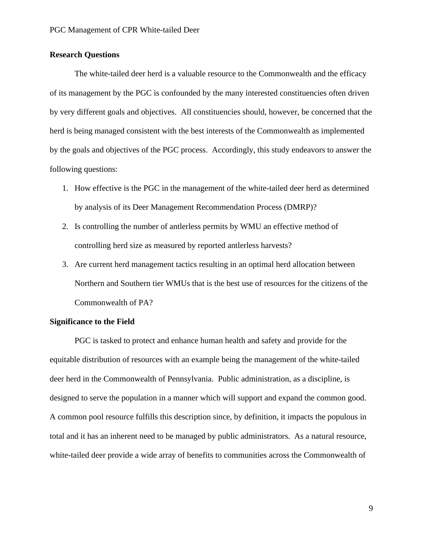## **Research Questions**

The white-tailed deer herd is a valuable resource to the Commonwealth and the efficacy of its management by the PGC is confounded by the many interested constituencies often driven by very different goals and objectives. All constituencies should, however, be concerned that the herd is being managed consistent with the best interests of the Commonwealth as implemented by the goals and objectives of the PGC process. Accordingly, this study endeavors to answer the following questions:

- 1. How effective is the PGC in the management of the white-tailed deer herd as determined by analysis of its Deer Management Recommendation Process (DMRP)?
- 2. Is controlling the number of antlerless permits by WMU an effective method of controlling herd size as measured by reported antlerless harvests?
- 3. Are current herd management tactics resulting in an optimal herd allocation between Northern and Southern tier WMUs that is the best use of resources for the citizens of the Commonwealth of PA?

#### **Significance to the Field**

PGC is tasked to protect and enhance human health and safety and provide for the equitable distribution of resources with an example being the management of the white-tailed deer herd in the Commonwealth of Pennsylvania. Public administration, as a discipline, is designed to serve the population in a manner which will support and expand the common good. A common pool resource fulfills this description since, by definition, it impacts the populous in total and it has an inherent need to be managed by public administrators. As a natural resource, white-tailed deer provide a wide array of benefits to communities across the Commonwealth of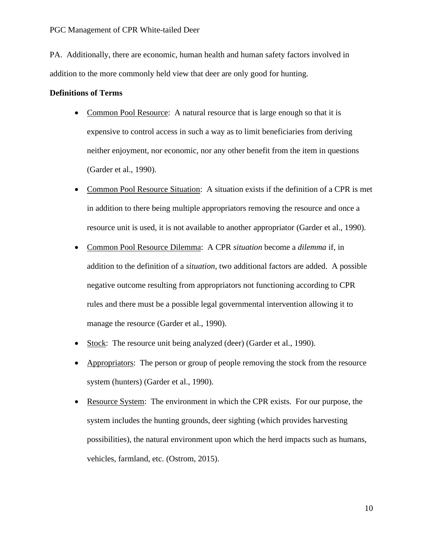PA. Additionally, there are economic, human health and human safety factors involved in addition to the more commonly held view that deer are only good for hunting.

#### **Definitions of Terms**

- Common Pool Resource: A natural resource that is large enough so that it is expensive to control access in such a way as to limit beneficiaries from deriving neither enjoyment, nor economic, nor any other benefit from the item in questions (Garder et al., 1990).
- Common Pool Resource Situation: A situation exists if the definition of a CPR is met in addition to there being multiple appropriators removing the resource and once a resource unit is used, it is not available to another appropriator (Garder et al., 1990).
- Common Pool Resource Dilemma: A CPR *situation* become a *dilemma* if, in addition to the definition of a *situation*, two additional factors are added. A possible negative outcome resulting from appropriators not functioning according to CPR rules and there must be a possible legal governmental intervention allowing it to manage the resource (Garder et al., 1990).
- Stock: The resource unit being analyzed (deer) (Garder et al., 1990).
- Appropriators: The person or group of people removing the stock from the resource system (hunters) (Garder et al., 1990).
- Resource System: The environment in which the CPR exists. For our purpose, the system includes the hunting grounds, deer sighting (which provides harvesting possibilities), the natural environment upon which the herd impacts such as humans, vehicles, farmland, etc. (Ostrom, 2015).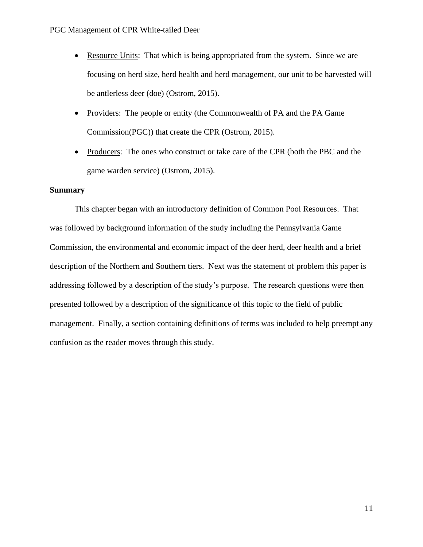- Resource Units: That which is being appropriated from the system. Since we are focusing on herd size, herd health and herd management, our unit to be harvested will be antlerless deer (doe) (Ostrom, 2015).
- Providers: The people or entity (the Commonwealth of PA and the PA Game Commission(PGC)) that create the CPR (Ostrom, 2015).
- Producers: The ones who construct or take care of the CPR (both the PBC and the game warden service) (Ostrom, 2015).

## **Summary**

This chapter began with an introductory definition of Common Pool Resources. That was followed by background information of the study including the Pennsylvania Game Commission, the environmental and economic impact of the deer herd, deer health and a brief description of the Northern and Southern tiers. Next was the statement of problem this paper is addressing followed by a description of the study's purpose. The research questions were then presented followed by a description of the significance of this topic to the field of public management. Finally, a section containing definitions of terms was included to help preempt any confusion as the reader moves through this study.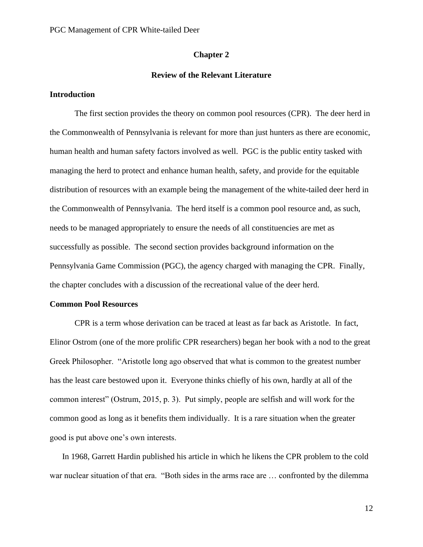#### **Chapter 2**

#### **Review of the Relevant Literature**

#### **Introduction**

The first section provides the theory on common pool resources (CPR). The deer herd in the Commonwealth of Pennsylvania is relevant for more than just hunters as there are economic, human health and human safety factors involved as well. PGC is the public entity tasked with managing the herd to protect and enhance human health, safety, and provide for the equitable distribution of resources with an example being the management of the white-tailed deer herd in the Commonwealth of Pennsylvania. The herd itself is a common pool resource and, as such, needs to be managed appropriately to ensure the needs of all constituencies are met as successfully as possible. The second section provides background information on the Pennsylvania Game Commission (PGC), the agency charged with managing the CPR. Finally, the chapter concludes with a discussion of the recreational value of the deer herd.

### **Common Pool Resources**

CPR is a term whose derivation can be traced at least as far back as Aristotle. In fact, Elinor Ostrom (one of the more prolific CPR researchers) began her book with a nod to the great Greek Philosopher. "Aristotle long ago observed that what is common to the greatest number has the least care bestowed upon it. Everyone thinks chiefly of his own, hardly at all of the common interest" (Ostrum, 2015, p. 3). Put simply, people are selfish and will work for the common good as long as it benefits them individually. It is a rare situation when the greater good is put above one's own interests.

In 1968, Garrett Hardin published his article in which he likens the CPR problem to the cold war nuclear situation of that era. "Both sides in the arms race are … confronted by the dilemma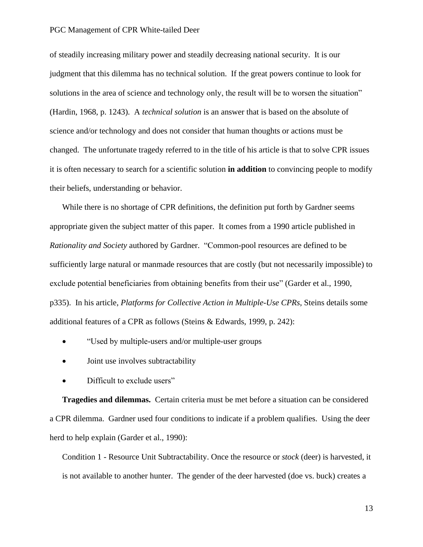of steadily increasing military power and steadily decreasing national security. It is our judgment that this dilemma has no technical solution. If the great powers continue to look for solutions in the area of science and technology only, the result will be to worsen the situation" (Hardin, 1968, p. 1243). A *technical solution* is an answer that is based on the absolute of science and/or technology and does not consider that human thoughts or actions must be changed. The unfortunate tragedy referred to in the title of his article is that to solve CPR issues it is often necessary to search for a scientific solution **in addition** to convincing people to modify their beliefs, understanding or behavior.

While there is no shortage of CPR definitions, the definition put forth by Gardner seems appropriate given the subject matter of this paper. It comes from a 1990 article published in *Rationality and Society* authored by Gardner. "Common-pool resources are defined to be sufficiently large natural or manmade resources that are costly (but not necessarily impossible) to exclude potential beneficiaries from obtaining benefits from their use" (Garder et al., 1990, p335). In his article, *Platforms for Collective Action in Multiple-Use CPRs*, Steins details some additional features of a CPR as follows (Steins & Edwards, 1999, p. 242):

- "Used by multiple-users and/or multiple-user groups"
- Joint use involves subtractability
- Difficult to exclude users"

**Tragedies and dilemmas.** Certain criteria must be met before a situation can be considered a CPR dilemma. Gardner used four conditions to indicate if a problem qualifies. Using the deer herd to help explain (Garder et al., 1990):

Condition 1 - Resource Unit Subtractability. Once the resource or *stock* (deer) is harvested, it is not available to another hunter. The gender of the deer harvested (doe vs. buck) creates a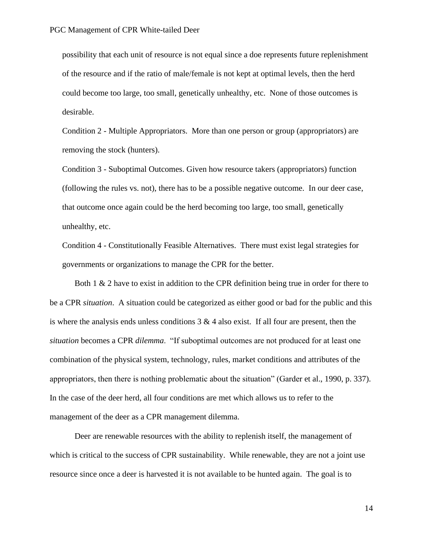possibility that each unit of resource is not equal since a doe represents future replenishment of the resource and if the ratio of male/female is not kept at optimal levels, then the herd could become too large, too small, genetically unhealthy, etc. None of those outcomes is desirable.

Condition 2 - Multiple Appropriators. More than one person or group (appropriators) are removing the stock (hunters).

Condition 3 - Suboptimal Outcomes. Given how resource takers (appropriators) function (following the rules vs. not), there has to be a possible negative outcome. In our deer case, that outcome once again could be the herd becoming too large, too small, genetically unhealthy, etc.

Condition 4 - Constitutionally Feasible Alternatives. There must exist legal strategies for governments or organizations to manage the CPR for the better.

Both  $1 \& 2$  have to exist in addition to the CPR definition being true in order for there to be a CPR *situation*. A situation could be categorized as either good or bad for the public and this is where the analysis ends unless conditions  $3 \& 4$  also exist. If all four are present, then the *situation* becomes a CPR *dilemma*. "If suboptimal outcomes are not produced for at least one combination of the physical system, technology, rules, market conditions and attributes of the appropriators, then there is nothing problematic about the situation" (Garder et al., 1990, p. 337). In the case of the deer herd, all four conditions are met which allows us to refer to the management of the deer as a CPR management dilemma.

Deer are renewable resources with the ability to replenish itself, the management of which is critical to the success of CPR sustainability. While renewable, they are not a joint use resource since once a deer is harvested it is not available to be hunted again. The goal is to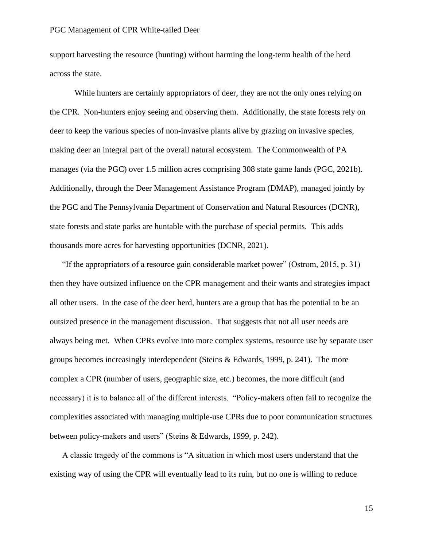support harvesting the resource (hunting) without harming the long-term health of the herd across the state.

While hunters are certainly appropriators of deer, they are not the only ones relying on the CPR. Non-hunters enjoy seeing and observing them. Additionally, the state forests rely on deer to keep the various species of non-invasive plants alive by grazing on invasive species, making deer an integral part of the overall natural ecosystem. The Commonwealth of PA manages (via the PGC) over 1.5 million acres comprising 308 state game lands (PGC, 2021b). Additionally, through the Deer Management Assistance Program (DMAP), managed jointly by the PGC and The Pennsylvania Department of Conservation and Natural Resources (DCNR), state forests and state parks are huntable with the purchase of special permits. This adds thousands more acres for harvesting opportunities (DCNR, 2021).

"If the appropriators of a resource gain considerable market power" (Ostrom, 2015, p. 31) then they have outsized influence on the CPR management and their wants and strategies impact all other users. In the case of the deer herd, hunters are a group that has the potential to be an outsized presence in the management discussion. That suggests that not all user needs are always being met. When CPRs evolve into more complex systems, resource use by separate user groups becomes increasingly interdependent (Steins & Edwards, 1999, p. 241). The more complex a CPR (number of users, geographic size, etc.) becomes, the more difficult (and necessary) it is to balance all of the different interests. "Policy-makers often fail to recognize the complexities associated with managing multiple-use CPRs due to poor communication structures between policy-makers and users" (Steins & Edwards, 1999, p. 242).

A classic tragedy of the commons is "A situation in which most users understand that the existing way of using the CPR will eventually lead to its ruin, but no one is willing to reduce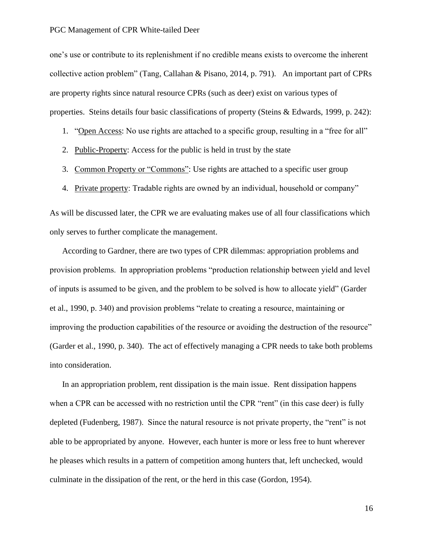one's use or contribute to its replenishment if no credible means exists to overcome the inherent collective action problem" (Tang, Callahan & Pisano, 2014, p. 791). An important part of CPRs are property rights since natural resource CPRs (such as deer) exist on various types of properties. Steins details four basic classifications of property (Steins & Edwards, 1999, p. 242):

- 1. "Open Access: No use rights are attached to a specific group, resulting in a "free for all"
- 2. Public-Property: Access for the public is held in trust by the state
- 3. Common Property or "Commons": Use rights are attached to a specific user group
- 4. Private property: Tradable rights are owned by an individual, household or company"

As will be discussed later, the CPR we are evaluating makes use of all four classifications which only serves to further complicate the management.

According to Gardner, there are two types of CPR dilemmas: appropriation problems and provision problems. In appropriation problems "production relationship between yield and level of inputs is assumed to be given, and the problem to be solved is how to allocate yield" (Garder et al., 1990, p. 340) and provision problems "relate to creating a resource, maintaining or improving the production capabilities of the resource or avoiding the destruction of the resource" (Garder et al., 1990, p. 340). The act of effectively managing a CPR needs to take both problems into consideration.

In an appropriation problem, rent dissipation is the main issue. Rent dissipation happens when a CPR can be accessed with no restriction until the CPR "rent" (in this case deer) is fully depleted (Fudenberg, 1987). Since the natural resource is not private property, the "rent" is not able to be appropriated by anyone. However, each hunter is more or less free to hunt wherever he pleases which results in a pattern of competition among hunters that, left unchecked, would culminate in the dissipation of the rent, or the herd in this case (Gordon, 1954).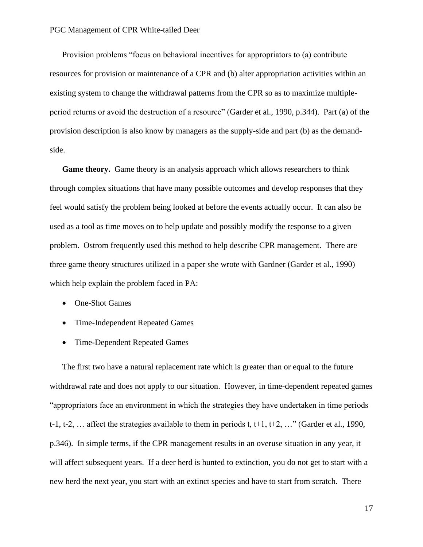Provision problems "focus on behavioral incentives for appropriators to (a) contribute resources for provision or maintenance of a CPR and (b) alter appropriation activities within an existing system to change the withdrawal patterns from the CPR so as to maximize multipleperiod returns or avoid the destruction of a resource" (Garder et al., 1990, p.344). Part (a) of the provision description is also know by managers as the supply-side and part (b) as the demandside.

**Game theory.** Game theory is an analysis approach which allows researchers to think through complex situations that have many possible outcomes and develop responses that they feel would satisfy the problem being looked at before the events actually occur. It can also be used as a tool as time moves on to help update and possibly modify the response to a given problem. Ostrom frequently used this method to help describe CPR management. There are three game theory structures utilized in a paper she wrote with Gardner (Garder et al., 1990) which help explain the problem faced in PA:

- One-Shot Games
- Time-Independent Repeated Games
- Time-Dependent Repeated Games

The first two have a natural replacement rate which is greater than or equal to the future withdrawal rate and does not apply to our situation. However, in time-dependent repeated games "appropriators face an environment in which the strategies they have undertaken in time periods t-1, t-2, ... affect the strategies available to them in periods t,  $t+1$ ,  $t+2$ , ..." (Garder et al., 1990, p.346). In simple terms, if the CPR management results in an overuse situation in any year, it will affect subsequent years. If a deer herd is hunted to extinction, you do not get to start with a new herd the next year, you start with an extinct species and have to start from scratch. There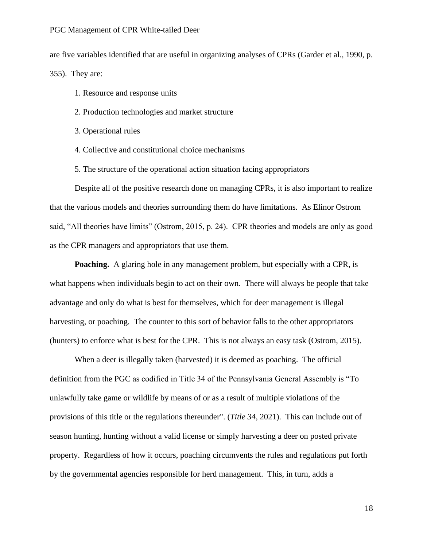are five variables identified that are useful in organizing analyses of CPRs (Garder et al., 1990, p. 355). They are:

- 1. Resource and response units
- 2. Production technologies and market structure
- 3. Operational rules
- 4. Collective and constitutional choice mechanisms
- 5. The structure of the operational action situation facing appropriators

Despite all of the positive research done on managing CPRs, it is also important to realize that the various models and theories surrounding them do have limitations. As Elinor Ostrom said, "All theories have limits" (Ostrom, 2015, p. 24). CPR theories and models are only as good as the CPR managers and appropriators that use them.

**Poaching.** A glaring hole in any management problem, but especially with a CPR, is what happens when individuals begin to act on their own. There will always be people that take advantage and only do what is best for themselves, which for deer management is illegal harvesting, or poaching. The counter to this sort of behavior falls to the other appropriators (hunters) to enforce what is best for the CPR. This is not always an easy task (Ostrom, 2015).

When a deer is illegally taken (harvested) it is deemed as poaching. The official definition from the PGC as codified in Title 34 of the Pennsylvania General Assembly is "To unlawfully take game or wildlife by means of or as a result of multiple violations of the provisions of this title or the regulations thereunder". (*Title 34*, 2021). This can include out of season hunting, hunting without a valid license or simply harvesting a deer on posted private property. Regardless of how it occurs, poaching circumvents the rules and regulations put forth by the governmental agencies responsible for herd management. This, in turn, adds a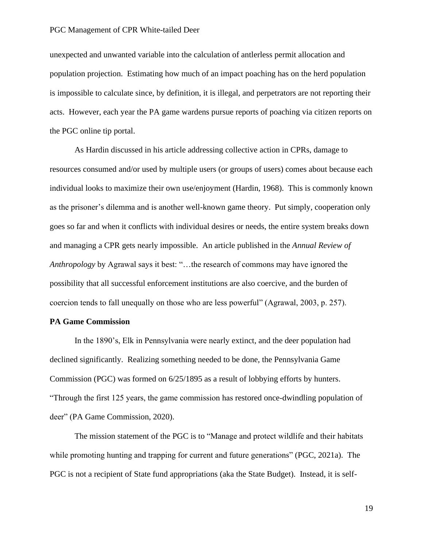unexpected and unwanted variable into the calculation of antlerless permit allocation and population projection. Estimating how much of an impact poaching has on the herd population is impossible to calculate since, by definition, it is illegal, and perpetrators are not reporting their acts. However, each year the PA game wardens pursue reports of poaching via citizen reports on the PGC online tip portal.

As Hardin discussed in his article addressing collective action in CPRs, damage to resources consumed and/or used by multiple users (or groups of users) comes about because each individual looks to maximize their own use/enjoyment (Hardin, 1968). This is commonly known as the prisoner's dilemma and is another well-known game theory. Put simply, cooperation only goes so far and when it conflicts with individual desires or needs, the entire system breaks down and managing a CPR gets nearly impossible. An article published in the *Annual Review of Anthropology* by Agrawal says it best: "…the research of commons may have ignored the possibility that all successful enforcement institutions are also coercive, and the burden of coercion tends to fall unequally on those who are less powerful" (Agrawal, 2003, p. 257).

#### **PA Game Commission**

In the 1890's, Elk in Pennsylvania were nearly extinct, and the deer population had declined significantly. Realizing something needed to be done, the Pennsylvania Game Commission (PGC) was formed on 6/25/1895 as a result of lobbying efforts by hunters. "Through the first 125 years, the game commission has restored once-dwindling population of deer" (PA Game Commission, 2020).

The mission statement of the PGC is to "Manage and protect wildlife and their habitats while promoting hunting and trapping for current and future generations" (PGC, 2021a). The PGC is not a recipient of State fund appropriations (aka the State Budget). Instead, it is self-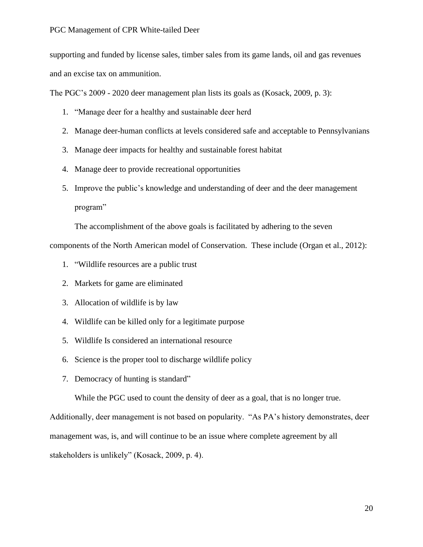supporting and funded by license sales, timber sales from its game lands, oil and gas revenues and an excise tax on ammunition.

The PGC's 2009 - 2020 deer management plan lists its goals as (Kosack, 2009, p. 3):

- 1. "Manage deer for a healthy and sustainable deer herd
- 2. Manage deer-human conflicts at levels considered safe and acceptable to Pennsylvanians
- 3. Manage deer impacts for healthy and sustainable forest habitat
- 4. Manage deer to provide recreational opportunities
- 5. Improve the public's knowledge and understanding of deer and the deer management program"

The accomplishment of the above goals is facilitated by adhering to the seven

components of the North American model of Conservation. These include (Organ et al., 2012):

- 1. "Wildlife resources are a public trust
- 2. Markets for game are eliminated
- 3. Allocation of wildlife is by law
- 4. Wildlife can be killed only for a legitimate purpose
- 5. Wildlife Is considered an international resource
- 6. Science is the proper tool to discharge wildlife policy
- 7. Democracy of hunting is standard"

While the PGC used to count the density of deer as a goal, that is no longer true.

Additionally, deer management is not based on popularity. "As PA's history demonstrates, deer management was, is, and will continue to be an issue where complete agreement by all stakeholders is unlikely" (Kosack, 2009, p. 4).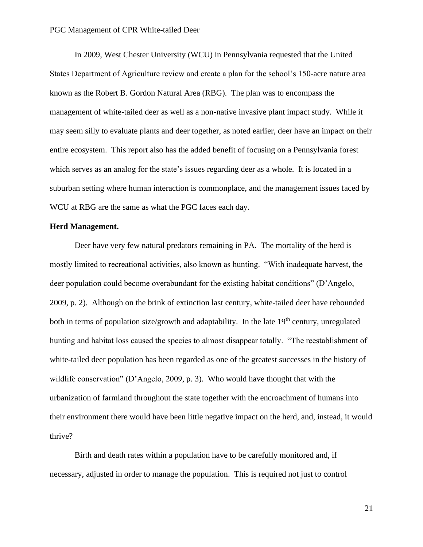In 2009, West Chester University (WCU) in Pennsylvania requested that the United States Department of Agriculture review and create a plan for the school's 150-acre nature area known as the Robert B. Gordon Natural Area (RBG). The plan was to encompass the management of white-tailed deer as well as a non-native invasive plant impact study. While it may seem silly to evaluate plants and deer together, as noted earlier, deer have an impact on their entire ecosystem. This report also has the added benefit of focusing on a Pennsylvania forest which serves as an analog for the state's issues regarding deer as a whole. It is located in a suburban setting where human interaction is commonplace, and the management issues faced by WCU at RBG are the same as what the PGC faces each day.

#### **Herd Management.**

Deer have very few natural predators remaining in PA. The mortality of the herd is mostly limited to recreational activities, also known as hunting. "With inadequate harvest, the deer population could become overabundant for the existing habitat conditions" (D'Angelo, 2009, p. 2). Although on the brink of extinction last century, white-tailed deer have rebounded both in terms of population size/growth and adaptability. In the late  $19<sup>th</sup>$  century, unregulated hunting and habitat loss caused the species to almost disappear totally. "The reestablishment of white-tailed deer population has been regarded as one of the greatest successes in the history of wildlife conservation" (D'Angelo, 2009, p. 3). Who would have thought that with the urbanization of farmland throughout the state together with the encroachment of humans into their environment there would have been little negative impact on the herd, and, instead, it would thrive?

Birth and death rates within a population have to be carefully monitored and, if necessary, adjusted in order to manage the population. This is required not just to control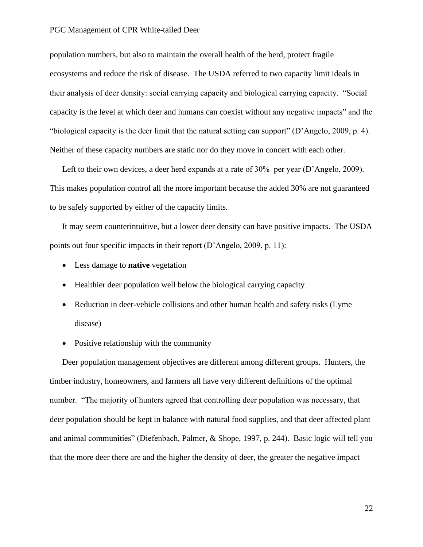population numbers, but also to maintain the overall health of the herd, protect fragile ecosystems and reduce the risk of disease. The USDA referred to two capacity limit ideals in their analysis of deer density: social carrying capacity and biological carrying capacity. "Social capacity is the level at which deer and humans can coexist without any negative impacts" and the "biological capacity is the deer limit that the natural setting can support" (D'Angelo, 2009, p. 4). Neither of these capacity numbers are static nor do they move in concert with each other.

Left to their own devices, a deer herd expands at a rate of 30% per year (D'Angelo, 2009). This makes population control all the more important because the added 30% are not guaranteed to be safely supported by either of the capacity limits.

It may seem counterintuitive, but a lower deer density can have positive impacts. The USDA points out four specific impacts in their report (D'Angelo, 2009, p. 11):

- Less damage to **native** vegetation
- Healthier deer population well below the biological carrying capacity
- Reduction in deer-vehicle collisions and other human health and safety risks (Lyme) disease)
- Positive relationship with the community

Deer population management objectives are different among different groups. Hunters, the timber industry, homeowners, and farmers all have very different definitions of the optimal number. "The majority of hunters agreed that controlling deer population was necessary, that deer population should be kept in balance with natural food supplies, and that deer affected plant and animal communities" (Diefenbach, Palmer, & Shope, 1997, p. 244). Basic logic will tell you that the more deer there are and the higher the density of deer, the greater the negative impact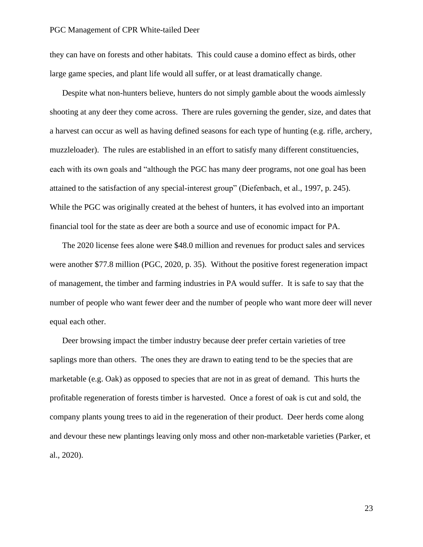they can have on forests and other habitats. This could cause a domino effect as birds, other large game species, and plant life would all suffer, or at least dramatically change.

Despite what non-hunters believe, hunters do not simply gamble about the woods aimlessly shooting at any deer they come across. There are rules governing the gender, size, and dates that a harvest can occur as well as having defined seasons for each type of hunting (e.g. rifle, archery, muzzleloader). The rules are established in an effort to satisfy many different constituencies, each with its own goals and "although the PGC has many deer programs, not one goal has been attained to the satisfaction of any special-interest group" (Diefenbach, et al., 1997, p. 245). While the PGC was originally created at the behest of hunters, it has evolved into an important financial tool for the state as deer are both a source and use of economic impact for PA.

The 2020 license fees alone were \$48.0 million and revenues for product sales and services were another \$77.8 million (PGC, 2020, p. 35). Without the positive forest regeneration impact of management, the timber and farming industries in PA would suffer. It is safe to say that the number of people who want fewer deer and the number of people who want more deer will never equal each other.

Deer browsing impact the timber industry because deer prefer certain varieties of tree saplings more than others. The ones they are drawn to eating tend to be the species that are marketable (e.g. Oak) as opposed to species that are not in as great of demand. This hurts the profitable regeneration of forests timber is harvested. Once a forest of oak is cut and sold, the company plants young trees to aid in the regeneration of their product. Deer herds come along and devour these new plantings leaving only moss and other non-marketable varieties (Parker, et al., 2020).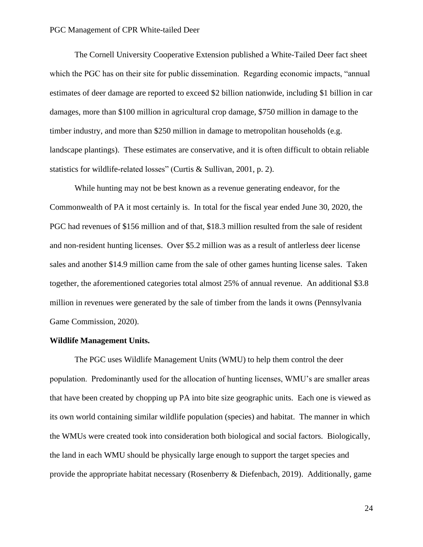The Cornell University Cooperative Extension published a White-Tailed Deer fact sheet which the PGC has on their site for public dissemination. Regarding economic impacts, "annual" estimates of deer damage are reported to exceed \$2 billion nationwide, including \$1 billion in car damages, more than \$100 million in agricultural crop damage, \$750 million in damage to the timber industry, and more than \$250 million in damage to metropolitan households (e.g. landscape plantings). These estimates are conservative, and it is often difficult to obtain reliable statistics for wildlife-related losses" (Curtis & Sullivan, 2001, p. 2).

While hunting may not be best known as a revenue generating endeavor, for the Commonwealth of PA it most certainly is. In total for the fiscal year ended June 30, 2020, the PGC had revenues of \$156 million and of that, \$18.3 million resulted from the sale of resident and non-resident hunting licenses. Over \$5.2 million was as a result of antlerless deer license sales and another \$14.9 million came from the sale of other games hunting license sales. Taken together, the aforementioned categories total almost 25% of annual revenue. An additional \$3.8 million in revenues were generated by the sale of timber from the lands it owns (Pennsylvania Game Commission, 2020).

#### **Wildlife Management Units.**

The PGC uses Wildlife Management Units (WMU) to help them control the deer population. Predominantly used for the allocation of hunting licenses, WMU's are smaller areas that have been created by chopping up PA into bite size geographic units. Each one is viewed as its own world containing similar wildlife population (species) and habitat. The manner in which the WMUs were created took into consideration both biological and social factors. Biologically, the land in each WMU should be physically large enough to support the target species and provide the appropriate habitat necessary (Rosenberry & Diefenbach, 2019). Additionally, game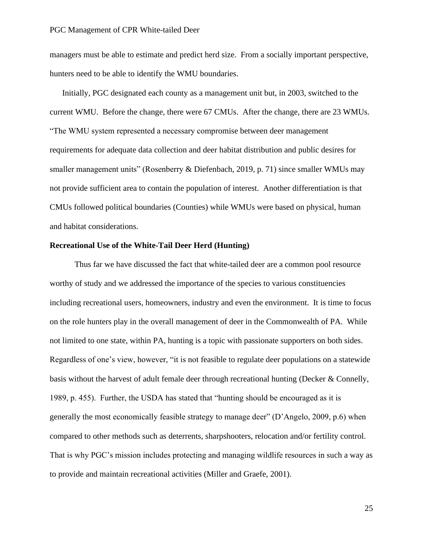managers must be able to estimate and predict herd size. From a socially important perspective, hunters need to be able to identify the WMU boundaries.

Initially, PGC designated each county as a management unit but, in 2003, switched to the current WMU. Before the change, there were 67 CMUs. After the change, there are 23 WMUs. "The WMU system represented a necessary compromise between deer management requirements for adequate data collection and deer habitat distribution and public desires for smaller management units" (Rosenberry & Diefenbach, 2019, p. 71) since smaller WMUs may not provide sufficient area to contain the population of interest. Another differentiation is that CMUs followed political boundaries (Counties) while WMUs were based on physical, human and habitat considerations.

#### **Recreational Use of the White-Tail Deer Herd (Hunting)**

Thus far we have discussed the fact that white-tailed deer are a common pool resource worthy of study and we addressed the importance of the species to various constituencies including recreational users, homeowners, industry and even the environment. It is time to focus on the role hunters play in the overall management of deer in the Commonwealth of PA. While not limited to one state, within PA, hunting is a topic with passionate supporters on both sides. Regardless of one's view, however, "it is not feasible to regulate deer populations on a statewide basis without the harvest of adult female deer through recreational hunting (Decker & Connelly, 1989, p. 455). Further, the USDA has stated that "hunting should be encouraged as it is generally the most economically feasible strategy to manage deer" (D'Angelo, 2009, p.6) when compared to other methods such as deterrents, sharpshooters, relocation and/or fertility control. That is why PGC's mission includes protecting and managing wildlife resources in such a way as to provide and maintain recreational activities (Miller and Graefe, 2001).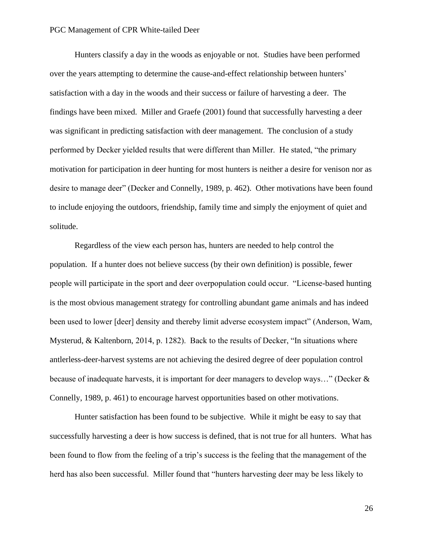Hunters classify a day in the woods as enjoyable or not. Studies have been performed over the years attempting to determine the cause-and-effect relationship between hunters' satisfaction with a day in the woods and their success or failure of harvesting a deer. The findings have been mixed. Miller and Graefe (2001) found that successfully harvesting a deer was significant in predicting satisfaction with deer management. The conclusion of a study performed by Decker yielded results that were different than Miller. He stated, "the primary motivation for participation in deer hunting for most hunters is neither a desire for venison nor as desire to manage deer" (Decker and Connelly, 1989, p. 462). Other motivations have been found to include enjoying the outdoors, friendship, family time and simply the enjoyment of quiet and solitude.

Regardless of the view each person has, hunters are needed to help control the population. If a hunter does not believe success (by their own definition) is possible, fewer people will participate in the sport and deer overpopulation could occur. "License-based hunting is the most obvious management strategy for controlling abundant game animals and has indeed been used to lower [deer] density and thereby limit adverse ecosystem impact" (Anderson, Wam, Mysterud, & Kaltenborn, 2014, p. 1282). Back to the results of Decker, "In situations where antlerless-deer-harvest systems are not achieving the desired degree of deer population control because of inadequate harvests, it is important for deer managers to develop ways…" (Decker & Connelly, 1989, p. 461) to encourage harvest opportunities based on other motivations.

Hunter satisfaction has been found to be subjective. While it might be easy to say that successfully harvesting a deer is how success is defined, that is not true for all hunters. What has been found to flow from the feeling of a trip's success is the feeling that the management of the herd has also been successful. Miller found that "hunters harvesting deer may be less likely to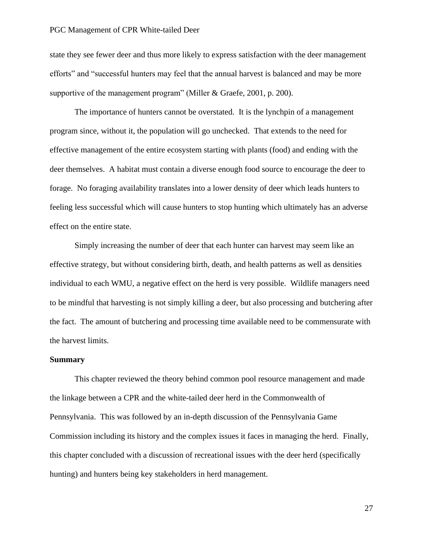state they see fewer deer and thus more likely to express satisfaction with the deer management efforts" and "successful hunters may feel that the annual harvest is balanced and may be more supportive of the management program" (Miller & Graefe, 2001, p. 200).

The importance of hunters cannot be overstated. It is the lynchpin of a management program since, without it, the population will go unchecked. That extends to the need for effective management of the entire ecosystem starting with plants (food) and ending with the deer themselves. A habitat must contain a diverse enough food source to encourage the deer to forage. No foraging availability translates into a lower density of deer which leads hunters to feeling less successful which will cause hunters to stop hunting which ultimately has an adverse effect on the entire state.

Simply increasing the number of deer that each hunter can harvest may seem like an effective strategy, but without considering birth, death, and health patterns as well as densities individual to each WMU, a negative effect on the herd is very possible. Wildlife managers need to be mindful that harvesting is not simply killing a deer, but also processing and butchering after the fact. The amount of butchering and processing time available need to be commensurate with the harvest limits.

#### **Summary**

This chapter reviewed the theory behind common pool resource management and made the linkage between a CPR and the white-tailed deer herd in the Commonwealth of Pennsylvania. This was followed by an in-depth discussion of the Pennsylvania Game Commission including its history and the complex issues it faces in managing the herd. Finally, this chapter concluded with a discussion of recreational issues with the deer herd (specifically hunting) and hunters being key stakeholders in herd management.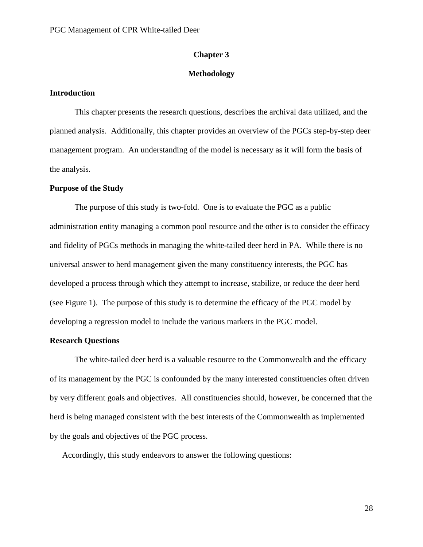#### **Chapter 3**

#### **Methodology**

#### **Introduction**

This chapter presents the research questions, describes the archival data utilized, and the planned analysis. Additionally, this chapter provides an overview of the PGCs step-by-step deer management program. An understanding of the model is necessary as it will form the basis of the analysis.

#### **Purpose of the Study**

The purpose of this study is two-fold. One is to evaluate the PGC as a public administration entity managing a common pool resource and the other is to consider the efficacy and fidelity of PGCs methods in managing the white-tailed deer herd in PA. While there is no universal answer to herd management given the many constituency interests, the PGC has developed a process through which they attempt to increase, stabilize, or reduce the deer herd (see Figure 1). The purpose of this study is to determine the efficacy of the PGC model by developing a regression model to include the various markers in the PGC model.

#### **Research Questions**

The white-tailed deer herd is a valuable resource to the Commonwealth and the efficacy of its management by the PGC is confounded by the many interested constituencies often driven by very different goals and objectives. All constituencies should, however, be concerned that the herd is being managed consistent with the best interests of the Commonwealth as implemented by the goals and objectives of the PGC process.

Accordingly, this study endeavors to answer the following questions: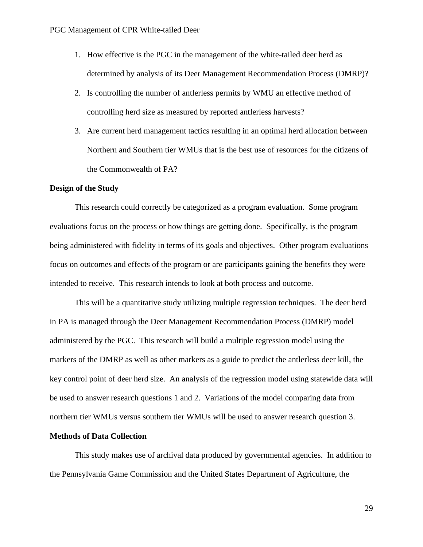- 1. How effective is the PGC in the management of the white-tailed deer herd as determined by analysis of its Deer Management Recommendation Process (DMRP)?
- 2. Is controlling the number of antlerless permits by WMU an effective method of controlling herd size as measured by reported antlerless harvests?
- 3. Are current herd management tactics resulting in an optimal herd allocation between Northern and Southern tier WMUs that is the best use of resources for the citizens of the Commonwealth of PA?

### **Design of the Study**

This research could correctly be categorized as a program evaluation. Some program evaluations focus on the process or how things are getting done. Specifically, is the program being administered with fidelity in terms of its goals and objectives. Other program evaluations focus on outcomes and effects of the program or are participants gaining the benefits they were intended to receive. This research intends to look at both process and outcome.

This will be a quantitative study utilizing multiple regression techniques. The deer herd in PA is managed through the Deer Management Recommendation Process (DMRP) model administered by the PGC. This research will build a multiple regression model using the markers of the DMRP as well as other markers as a guide to predict the antlerless deer kill, the key control point of deer herd size. An analysis of the regression model using statewide data will be used to answer research questions 1 and 2. Variations of the model comparing data from northern tier WMUs versus southern tier WMUs will be used to answer research question 3.

### **Methods of Data Collection**

This study makes use of archival data produced by governmental agencies. In addition to the Pennsylvania Game Commission and the United States Department of Agriculture, the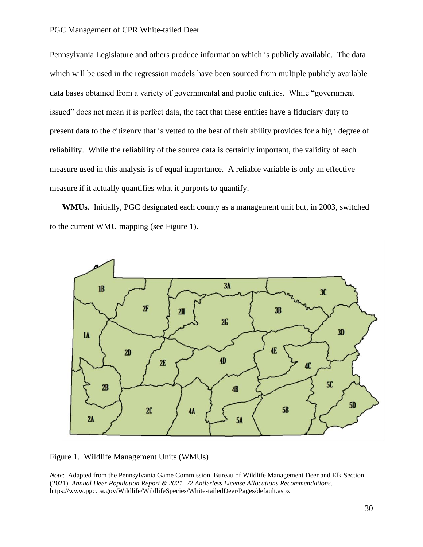Pennsylvania Legislature and others produce information which is publicly available. The data which will be used in the regression models have been sourced from multiple publicly available data bases obtained from a variety of governmental and public entities. While "government issued" does not mean it is perfect data, the fact that these entities have a fiduciary duty to present data to the citizenry that is vetted to the best of their ability provides for a high degree of reliability. While the reliability of the source data is certainly important, the validity of each measure used in this analysis is of equal importance. A reliable variable is only an effective measure if it actually quantifies what it purports to quantify.

**WMUs.** Initially, PGC designated each county as a management unit but, in 2003, switched to the current WMU mapping (see Figure 1).



Figure 1. Wildlife Management Units (WMUs)

*Note*: Adapted from the Pennsylvania Game Commission, Bureau of Wildlife Management Deer and Elk Section. (2021). *Annual Deer Population Report & 2021–22 Antlerless License Allocations Recommendations*. https://www.pgc.pa.gov/Wildlife/WildlifeSpecies/White-tailedDeer/Pages/default.aspx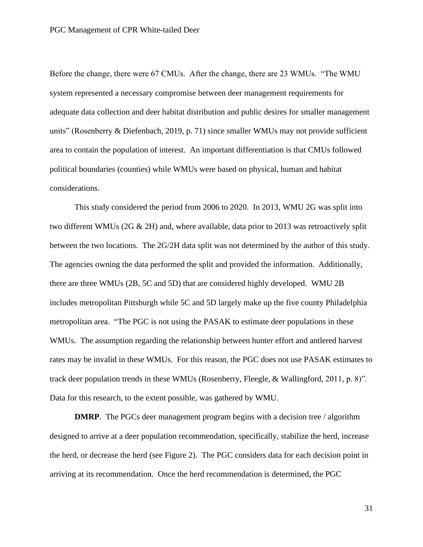Before the change, there were 67 CMUs. After the change, there are 23 WMUs. "The WMU system represented a necessary compromise between deer management requirements for adequate data collection and deer habitat distribution and public desires for smaller management units" (Rosenberry & Diefenbach, 2019, p. 71) since smaller WMUs may not provide sufficient area to contain the population of interest. An important differentiation is that CMUs followed political boundaries (counties) while WMUs were based on physical, human and habitat considerations.

This study considered the period from 2006 to 2020. In 2013, WMU 2G was split into two different WMUs (2G  $\&$  2H) and, where available, data prior to 2013 was retroactively split between the two locations. The 2G/2H data split was not determined by the author of this study. The agencies owning the data performed the split and provided the information. Additionally, there are three WMUs (2B, 5C and 5D) that are considered highly developed. WMU 2B includes metropolitan Pittsburgh while 5C and 5D largely make up the five county Philadelphia metropolitan area. "The PGC is not using the PASAK to estimate deer populations in these WMUs. The assumption regarding the relationship between hunter effort and antlered harvest rates may be invalid in these WMUs. For this reason, the PGC does not use PASAK estimates to track deer population trends in these WMUs (Rosenberry, Fleegle, & Wallingford, 2011, p. 8)". Data for this research, to the extent possible, was gathered by WMU.

**DMRP**. The PGCs deer management program begins with a decision tree / algorithm designed to arrive at a deer population recommendation, specifically, stabilize the herd, increase the herd, or decrease the herd (see Figure 2). The PGC considers data for each decision point in arriving at its recommendation. Once the herd recommendation is determined, the PGC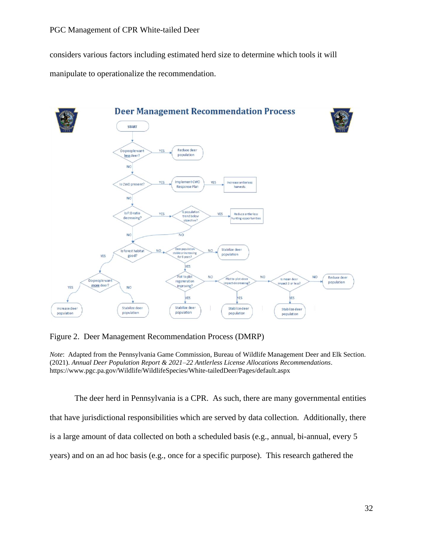considers various factors including estimated herd size to determine which tools it will manipulate to operationalize the recommendation.



Figure 2. Deer Management Recommendation Process (DMRP)

*Note*: Adapted from the Pennsylvania Game Commission, Bureau of Wildlife Management Deer and Elk Section. (2021). *Annual Deer Population Report & 2021–22 Antlerless License Allocations Recommendations*. https://www.pgc.pa.gov/Wildlife/WildlifeSpecies/White-tailedDeer/Pages/default.aspx

The deer herd in Pennsylvania is a CPR. As such, there are many governmental entities that have jurisdictional responsibilities which are served by data collection. Additionally, there is a large amount of data collected on both a scheduled basis (e.g., annual, bi-annual, every 5 years) and on an ad hoc basis (e.g., once for a specific purpose). This research gathered the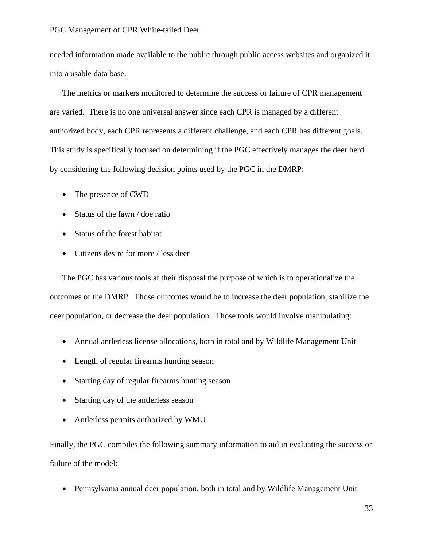needed information made available to the public through public access websites and organized it into a usable data base.

The metrics or markers monitored to determine the success or failure of CPR management are varied. There is no one universal answer since each CPR is managed by a different authorized body, each CPR represents a different challenge, and each CPR has different goals. This study is specifically focused on determining if the PGC effectively manages the deer herd by considering the following decision points used by the PGC in the DMRP:

- The presence of CWD
- Status of the fawn / doe ratio
- Status of the forest habitat
- Citizens desire for more / less deer

The PGC has various tools at their disposal the purpose of which is to operationalize the outcomes of the DMRP. Those outcomes would be to increase the deer population, stabilize the deer population, or decrease the deer population. Those tools would involve manipulating:

- Annual antlerless license allocations, both in total and by Wildlife Management Unit
- Length of regular firearms hunting season
- Starting day of regular firearms hunting season
- Starting day of the antierless season
- Antlerless permits authorized by WMU

Finally, the PGC compiles the following summary information to aid in evaluating the success or failure of the model:

• Pennsylvania annual deer population, both in total and by Wildlife Management Unit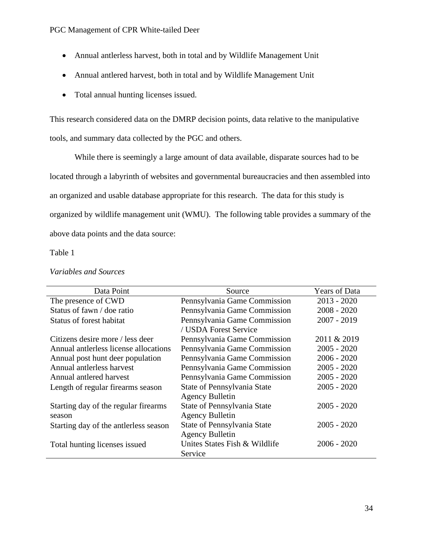- Annual antlerless harvest, both in total and by Wildlife Management Unit
- Annual antlered harvest, both in total and by Wildlife Management Unit
- Total annual hunting licenses issued.

This research considered data on the DMRP decision points, data relative to the manipulative tools, and summary data collected by the PGC and others.

While there is seemingly a large amount of data available, disparate sources had to be located through a labyrinth of websites and governmental bureaucracies and then assembled into an organized and usable database appropriate for this research. The data for this study is organized by wildlife management unit (WMU). The following table provides a summary of the above data points and the data source:

# Table 1

| Data Point                            | Source                        | Years of Data |
|---------------------------------------|-------------------------------|---------------|
| The presence of CWD                   | Pennsylvania Game Commission  | $2013 - 2020$ |
| Status of fawn / doe ratio            | Pennsylvania Game Commission  | $2008 - 2020$ |
| Status of forest habitat              | Pennsylvania Game Commission  | $2007 - 2019$ |
|                                       | / USDA Forest Service         |               |
| Citizens desire more / less deer      | Pennsylvania Game Commission  | 2011 & 2019   |
| Annual antierless license allocations | Pennsylvania Game Commission  | $2005 - 2020$ |
| Annual post hunt deer population      | Pennsylvania Game Commission  | $2006 - 2020$ |
| Annual antlerless harvest             | Pennsylvania Game Commission  | $2005 - 2020$ |
| Annual antlered harvest               | Pennsylvania Game Commission  | $2005 - 2020$ |
| Length of regular firearms season     | State of Pennsylvania State   | $2005 - 2020$ |
|                                       | <b>Agency Bulletin</b>        |               |
| Starting day of the regular firearms  | State of Pennsylvania State   | $2005 - 2020$ |
| season                                | <b>Agency Bulletin</b>        |               |
| Starting day of the antlerless season | State of Pennsylvania State   | $2005 - 2020$ |
|                                       | <b>Agency Bulletin</b>        |               |
| Total hunting licenses issued         | Unites States Fish & Wildlife | $2006 - 2020$ |
|                                       | Service                       |               |

### *Variables and Sources*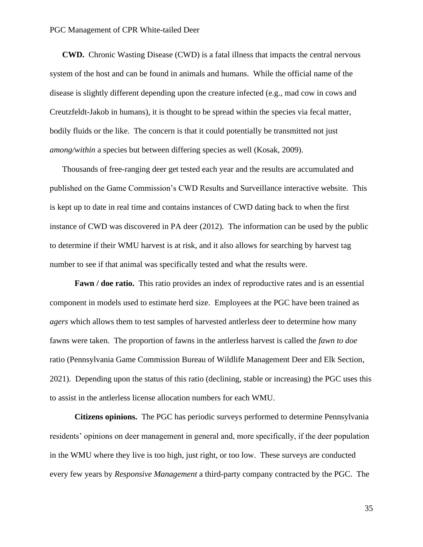**CWD.** Chronic Wasting Disease (CWD) is a fatal illness that impacts the central nervous system of the host and can be found in animals and humans. While the official name of the disease is slightly different depending upon the creature infected (e.g., mad cow in cows and Creutzfeldt-Jakob in humans), it is thought to be spread within the species via fecal matter, bodily fluids or the like. The concern is that it could potentially be transmitted not just *among/within* a species but between differing species as well (Kosak, 2009).

Thousands of free-ranging deer get tested each year and the results are accumulated and published on the Game Commission's CWD Results and Surveillance interactive website. This is kept up to date in real time and contains instances of CWD dating back to when the first instance of CWD was discovered in PA deer (2012). The information can be used by the public to determine if their WMU harvest is at risk, and it also allows for searching by harvest tag number to see if that animal was specifically tested and what the results were.

**Fawn / doe ratio.** This ratio provides an index of reproductive rates and is an essential component in models used to estimate herd size. Employees at the PGC have been trained as *agers* which allows them to test samples of harvested antlerless deer to determine how many fawns were taken. The proportion of fawns in the antlerless harvest is called the *fawn to doe* ratio (Pennsylvania Game Commission Bureau of Wildlife Management Deer and Elk Section, 2021). Depending upon the status of this ratio (declining, stable or increasing) the PGC uses this to assist in the antlerless license allocation numbers for each WMU.

**Citizens opinions.** The PGC has periodic surveys performed to determine Pennsylvania residents' opinions on deer management in general and, more specifically, if the deer population in the WMU where they live is too high, just right, or too low. These surveys are conducted every few years by *Responsive Management* a third-party company contracted by the PGC. The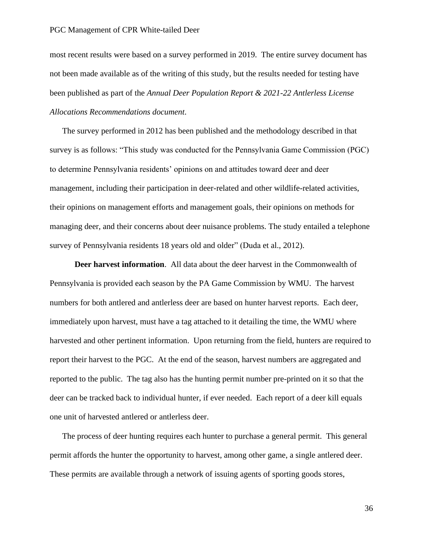most recent results were based on a survey performed in 2019. The entire survey document has not been made available as of the writing of this study, but the results needed for testing have been published as part of the *Annual Deer Population Report & 2021-22 Antlerless License Allocations Recommendations document*.

The survey performed in 2012 has been published and the methodology described in that survey is as follows: "This study was conducted for the Pennsylvania Game Commission (PGC) to determine Pennsylvania residents' opinions on and attitudes toward deer and deer management, including their participation in deer-related and other wildlife-related activities, their opinions on management efforts and management goals, their opinions on methods for managing deer, and their concerns about deer nuisance problems. The study entailed a telephone survey of Pennsylvania residents 18 years old and older" (Duda et al., 2012).

**Deer harvest information**. All data about the deer harvest in the Commonwealth of Pennsylvania is provided each season by the PA Game Commission by WMU. The harvest numbers for both antlered and antlerless deer are based on hunter harvest reports. Each deer, immediately upon harvest, must have a tag attached to it detailing the time, the WMU where harvested and other pertinent information. Upon returning from the field, hunters are required to report their harvest to the PGC. At the end of the season, harvest numbers are aggregated and reported to the public. The tag also has the hunting permit number pre-printed on it so that the deer can be tracked back to individual hunter, if ever needed. Each report of a deer kill equals one unit of harvested antlered or antlerless deer.

The process of deer hunting requires each hunter to purchase a general permit. This general permit affords the hunter the opportunity to harvest, among other game, a single antlered deer. These permits are available through a network of issuing agents of sporting goods stores,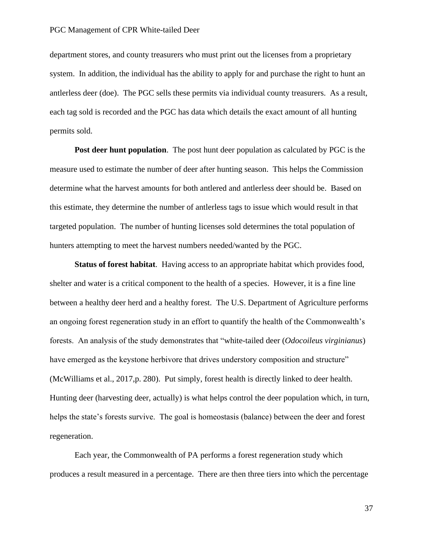department stores, and county treasurers who must print out the licenses from a proprietary system. In addition, the individual has the ability to apply for and purchase the right to hunt an antlerless deer (doe). The PGC sells these permits via individual county treasurers. As a result, each tag sold is recorded and the PGC has data which details the exact amount of all hunting permits sold.

**Post deer hunt population**. The post hunt deer population as calculated by PGC is the measure used to estimate the number of deer after hunting season. This helps the Commission determine what the harvest amounts for both antlered and antlerless deer should be. Based on this estimate, they determine the number of antlerless tags to issue which would result in that targeted population. The number of hunting licenses sold determines the total population of hunters attempting to meet the harvest numbers needed/wanted by the PGC.

**Status of forest habitat**. Having access to an appropriate habitat which provides food, shelter and water is a critical component to the health of a species. However, it is a fine line between a healthy deer herd and a healthy forest. The U.S. Department of Agriculture performs an ongoing forest regeneration study in an effort to quantify the health of the Commonwealth's forests. An analysis of the study demonstrates that "white-tailed deer (*Odocoileus virginianus*) have emerged as the keystone herbivore that drives understory composition and structure" (McWilliams et al., 2017,p. 280). Put simply, forest health is directly linked to deer health. Hunting deer (harvesting deer, actually) is what helps control the deer population which, in turn, helps the state's forests survive. The goal is homeostasis (balance) between the deer and forest regeneration.

Each year, the Commonwealth of PA performs a forest regeneration study which produces a result measured in a percentage. There are then three tiers into which the percentage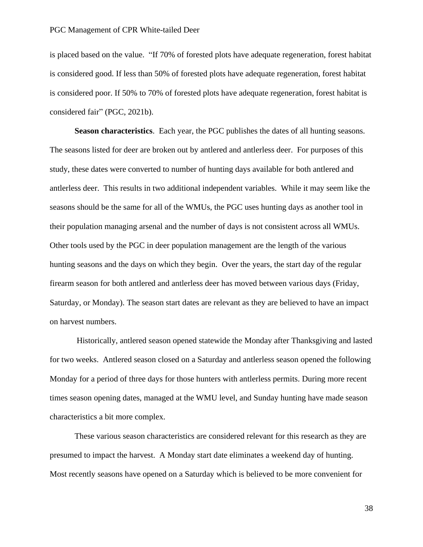is placed based on the value. "If 70% of forested plots have adequate regeneration, forest habitat is considered good. If less than 50% of forested plots have adequate regeneration, forest habitat is considered poor. If 50% to 70% of forested plots have adequate regeneration, forest habitat is considered fair" (PGC, 2021b).

**Season characteristics**. Each year, the PGC publishes the dates of all hunting seasons. The seasons listed for deer are broken out by antlered and antlerless deer. For purposes of this study, these dates were converted to number of hunting days available for both antlered and antlerless deer. This results in two additional independent variables. While it may seem like the seasons should be the same for all of the WMUs, the PGC uses hunting days as another tool in their population managing arsenal and the number of days is not consistent across all WMUs. Other tools used by the PGC in deer population management are the length of the various hunting seasons and the days on which they begin. Over the years, the start day of the regular firearm season for both antlered and antlerless deer has moved between various days (Friday, Saturday, or Monday). The season start dates are relevant as they are believed to have an impact on harvest numbers.

Historically, antlered season opened statewide the Monday after Thanksgiving and lasted for two weeks. Antlered season closed on a Saturday and antlerless season opened the following Monday for a period of three days for those hunters with antlerless permits. During more recent times season opening dates, managed at the WMU level, and Sunday hunting have made season characteristics a bit more complex.

These various season characteristics are considered relevant for this research as they are presumed to impact the harvest. A Monday start date eliminates a weekend day of hunting. Most recently seasons have opened on a Saturday which is believed to be more convenient for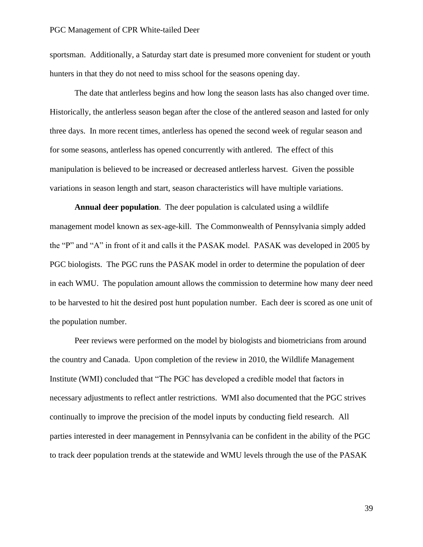sportsman. Additionally, a Saturday start date is presumed more convenient for student or youth hunters in that they do not need to miss school for the seasons opening day.

The date that antlerless begins and how long the season lasts has also changed over time. Historically, the antlerless season began after the close of the antlered season and lasted for only three days. In more recent times, antlerless has opened the second week of regular season and for some seasons, antlerless has opened concurrently with antlered. The effect of this manipulation is believed to be increased or decreased antlerless harvest. Given the possible variations in season length and start, season characteristics will have multiple variations.

**Annual deer population**. The deer population is calculated using a wildlife management model known as sex-age-kill. The Commonwealth of Pennsylvania simply added the "P" and "A" in front of it and calls it the PASAK model. PASAK was developed in 2005 by PGC biologists. The PGC runs the PASAK model in order to determine the population of deer in each WMU. The population amount allows the commission to determine how many deer need to be harvested to hit the desired post hunt population number. Each deer is scored as one unit of the population number.

Peer reviews were performed on the model by biologists and biometricians from around the country and Canada. Upon completion of the review in 2010, the Wildlife Management Institute (WMI) concluded that "The PGC has developed a credible model that factors in necessary adjustments to reflect antler restrictions. WMI also documented that the PGC strives continually to improve the precision of the model inputs by conducting field research. All parties interested in deer management in Pennsylvania can be confident in the ability of the PGC to track deer population trends at the statewide and WMU levels through the use of the PASAK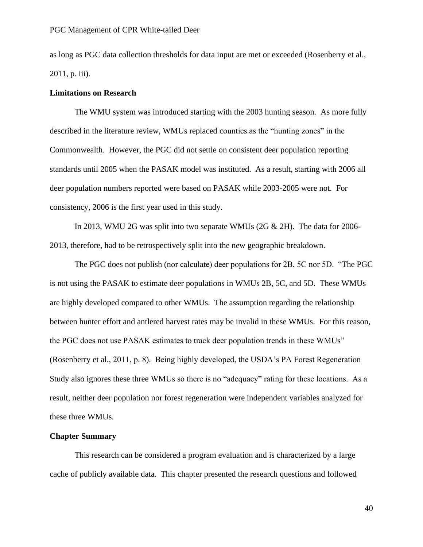as long as PGC data collection thresholds for data input are met or exceeded (Rosenberry et al., 2011, p. iii).

### **Limitations on Research**

The WMU system was introduced starting with the 2003 hunting season. As more fully described in the literature review, WMUs replaced counties as the "hunting zones" in the Commonwealth. However, the PGC did not settle on consistent deer population reporting standards until 2005 when the PASAK model was instituted. As a result, starting with 2006 all deer population numbers reported were based on PASAK while 2003-2005 were not. For consistency, 2006 is the first year used in this study.

In 2013, WMU 2G was split into two separate WMUs (2G & 2H). The data for 2006- 2013, therefore, had to be retrospectively split into the new geographic breakdown.

The PGC does not publish (nor calculate) deer populations for 2B, 5C nor 5D. "The PGC is not using the PASAK to estimate deer populations in WMUs 2B, 5C, and 5D. These WMUs are highly developed compared to other WMUs. The assumption regarding the relationship between hunter effort and antlered harvest rates may be invalid in these WMUs. For this reason, the PGC does not use PASAK estimates to track deer population trends in these WMUs" (Rosenberry et al., 2011, p. 8). Being highly developed, the USDA's PA Forest Regeneration Study also ignores these three WMUs so there is no "adequacy" rating for these locations. As a result, neither deer population nor forest regeneration were independent variables analyzed for these three WMUs.

### **Chapter Summary**

This research can be considered a program evaluation and is characterized by a large cache of publicly available data. This chapter presented the research questions and followed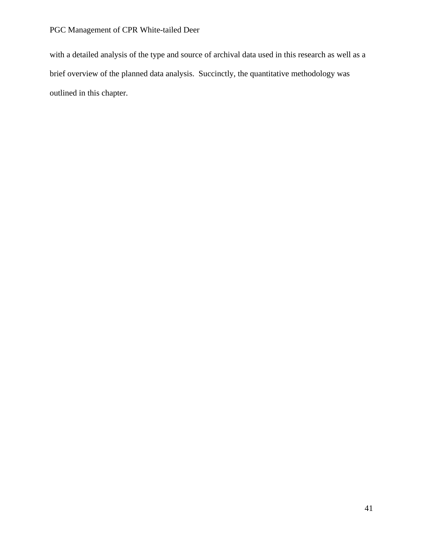with a detailed analysis of the type and source of archival data used in this research as well as a brief overview of the planned data analysis. Succinctly, the quantitative methodology was outlined in this chapter.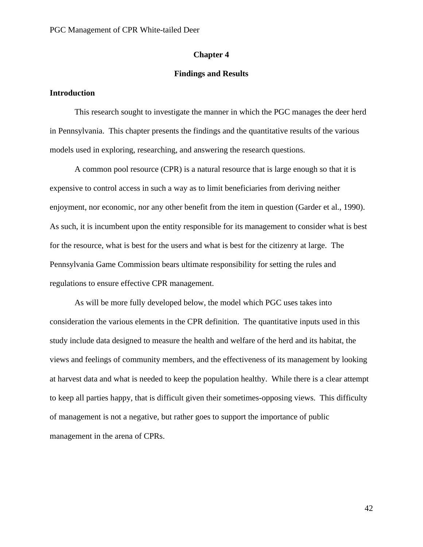### **Chapter 4**

### **Findings and Results**

### **Introduction**

This research sought to investigate the manner in which the PGC manages the deer herd in Pennsylvania. This chapter presents the findings and the quantitative results of the various models used in exploring, researching, and answering the research questions.

A common pool resource (CPR) is a natural resource that is large enough so that it is expensive to control access in such a way as to limit beneficiaries from deriving neither enjoyment, nor economic, nor any other benefit from the item in question (Garder et al., 1990). As such, it is incumbent upon the entity responsible for its management to consider what is best for the resource, what is best for the users and what is best for the citizenry at large. The Pennsylvania Game Commission bears ultimate responsibility for setting the rules and regulations to ensure effective CPR management.

As will be more fully developed below, the model which PGC uses takes into consideration the various elements in the CPR definition. The quantitative inputs used in this study include data designed to measure the health and welfare of the herd and its habitat, the views and feelings of community members, and the effectiveness of its management by looking at harvest data and what is needed to keep the population healthy. While there is a clear attempt to keep all parties happy, that is difficult given their sometimes-opposing views. This difficulty of management is not a negative, but rather goes to support the importance of public management in the arena of CPRs.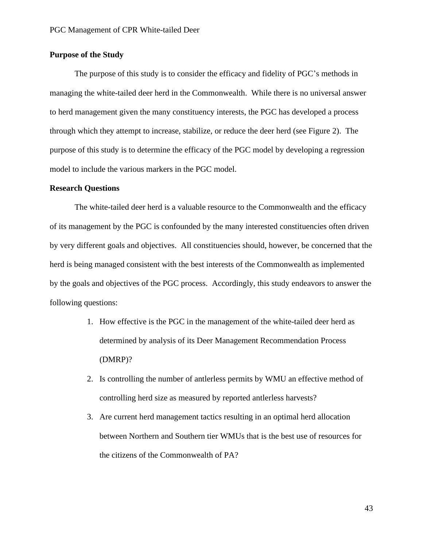# **Purpose of the Study**

The purpose of this study is to consider the efficacy and fidelity of PGC's methods in managing the white-tailed deer herd in the Commonwealth. While there is no universal answer to herd management given the many constituency interests, the PGC has developed a process through which they attempt to increase, stabilize, or reduce the deer herd (see Figure 2). The purpose of this study is to determine the efficacy of the PGC model by developing a regression model to include the various markers in the PGC model.

### **Research Questions**

The white-tailed deer herd is a valuable resource to the Commonwealth and the efficacy of its management by the PGC is confounded by the many interested constituencies often driven by very different goals and objectives. All constituencies should, however, be concerned that the herd is being managed consistent with the best interests of the Commonwealth as implemented by the goals and objectives of the PGC process. Accordingly, this study endeavors to answer the following questions:

- 1. How effective is the PGC in the management of the white-tailed deer herd as determined by analysis of its Deer Management Recommendation Process (DMRP)?
- 2. Is controlling the number of antlerless permits by WMU an effective method of controlling herd size as measured by reported antlerless harvests?
- 3. Are current herd management tactics resulting in an optimal herd allocation between Northern and Southern tier WMUs that is the best use of resources for the citizens of the Commonwealth of PA?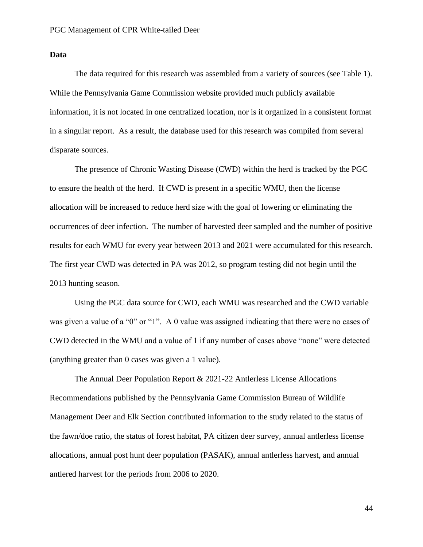# **Data**

The data required for this research was assembled from a variety of sources (see Table 1). While the Pennsylvania Game Commission website provided much publicly available information, it is not located in one centralized location, nor is it organized in a consistent format in a singular report. As a result, the database used for this research was compiled from several disparate sources.

The presence of Chronic Wasting Disease (CWD) within the herd is tracked by the PGC to ensure the health of the herd. If CWD is present in a specific WMU, then the license allocation will be increased to reduce herd size with the goal of lowering or eliminating the occurrences of deer infection. The number of harvested deer sampled and the number of positive results for each WMU for every year between 2013 and 2021 were accumulated for this research. The first year CWD was detected in PA was 2012, so program testing did not begin until the 2013 hunting season.

Using the PGC data source for CWD, each WMU was researched and the CWD variable was given a value of a "0" or "1". A 0 value was assigned indicating that there were no cases of CWD detected in the WMU and a value of 1 if any number of cases above "none" were detected (anything greater than 0 cases was given a 1 value).

The Annual Deer Population Report & 2021-22 Antlerless License Allocations Recommendations published by the Pennsylvania Game Commission Bureau of Wildlife Management Deer and Elk Section contributed information to the study related to the status of the fawn/doe ratio, the status of forest habitat, PA citizen deer survey, annual antlerless license allocations, annual post hunt deer population (PASAK), annual antlerless harvest, and annual antlered harvest for the periods from 2006 to 2020.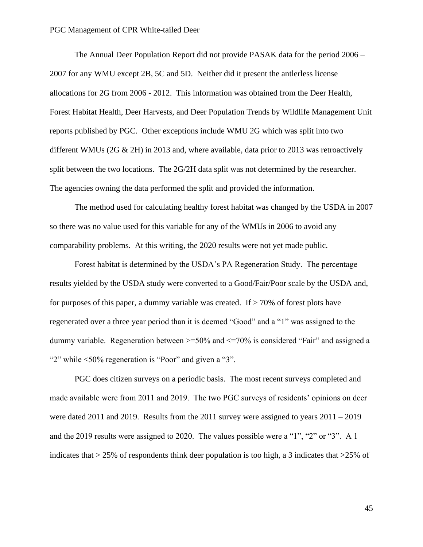The Annual Deer Population Report did not provide PASAK data for the period 2006 – 2007 for any WMU except 2B, 5C and 5D. Neither did it present the antlerless license allocations for 2G from 2006 - 2012. This information was obtained from the Deer Health, Forest Habitat Health, Deer Harvests, and Deer Population Trends by Wildlife Management Unit reports published by PGC. Other exceptions include WMU 2G which was split into two different WMUs (2G  $\&$  2H) in 2013 and, where available, data prior to 2013 was retroactively split between the two locations. The 2G/2H data split was not determined by the researcher. The agencies owning the data performed the split and provided the information.

The method used for calculating healthy forest habitat was changed by the USDA in 2007 so there was no value used for this variable for any of the WMUs in 2006 to avoid any comparability problems. At this writing, the 2020 results were not yet made public.

Forest habitat is determined by the USDA's PA Regeneration Study. The percentage results yielded by the USDA study were converted to a Good/Fair/Poor scale by the USDA and, for purposes of this paper, a dummy variable was created. If  $> 70\%$  of forest plots have regenerated over a three year period than it is deemed "Good" and a "1" was assigned to the dummy variable. Regeneration between >=50% and <=70% is considered "Fair" and assigned a "<sup>2"</sup> while <50% regeneration is "Poor" and given a "3".

PGC does citizen surveys on a periodic basis. The most recent surveys completed and made available were from 2011 and 2019. The two PGC surveys of residents' opinions on deer were dated 2011 and 2019. Results from the 2011 survey were assigned to years 2011 – 2019 and the 2019 results were assigned to 2020. The values possible were a "1", "2" or "3". A 1 indicates that  $>$  25% of respondents think deer population is too high, a 3 indicates that  $>$  25% of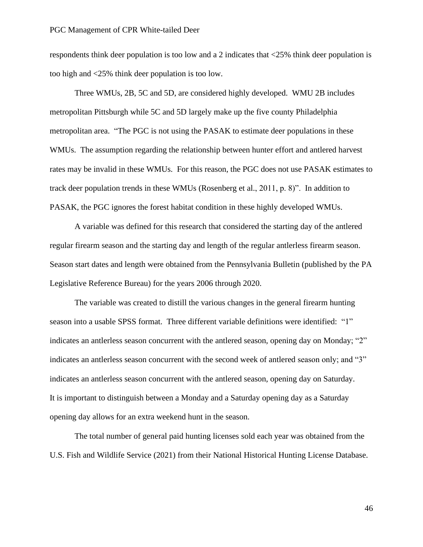respondents think deer population is too low and a 2 indicates that <25% think deer population is too high and <25% think deer population is too low.

Three WMUs, 2B, 5C and 5D, are considered highly developed. WMU 2B includes metropolitan Pittsburgh while 5C and 5D largely make up the five county Philadelphia metropolitan area. "The PGC is not using the PASAK to estimate deer populations in these WMUs. The assumption regarding the relationship between hunter effort and antlered harvest rates may be invalid in these WMUs. For this reason, the PGC does not use PASAK estimates to track deer population trends in these WMUs (Rosenberg et al., 2011, p. 8)". In addition to PASAK, the PGC ignores the forest habitat condition in these highly developed WMUs.

A variable was defined for this research that considered the starting day of the antlered regular firearm season and the starting day and length of the regular antlerless firearm season. Season start dates and length were obtained from the Pennsylvania Bulletin (published by the PA Legislative Reference Bureau) for the years 2006 through 2020.

The variable was created to distill the various changes in the general firearm hunting season into a usable SPSS format. Three different variable definitions were identified: "1" indicates an antlerless season concurrent with the antlered season, opening day on Monday; "2" indicates an antlerless season concurrent with the second week of antlered season only; and "3" indicates an antlerless season concurrent with the antlered season, opening day on Saturday. It is important to distinguish between a Monday and a Saturday opening day as a Saturday opening day allows for an extra weekend hunt in the season.

The total number of general paid hunting licenses sold each year was obtained from the U.S. Fish and Wildlife Service (2021) from their National Historical Hunting License Database.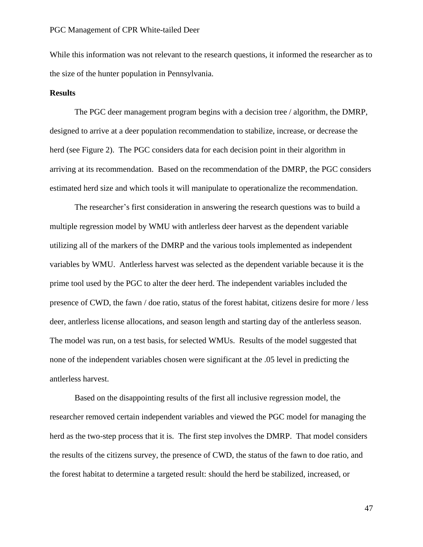While this information was not relevant to the research questions, it informed the researcher as to the size of the hunter population in Pennsylvania.

### **Results**

The PGC deer management program begins with a decision tree / algorithm, the DMRP, designed to arrive at a deer population recommendation to stabilize, increase, or decrease the herd (see Figure 2). The PGC considers data for each decision point in their algorithm in arriving at its recommendation. Based on the recommendation of the DMRP, the PGC considers estimated herd size and which tools it will manipulate to operationalize the recommendation.

The researcher's first consideration in answering the research questions was to build a multiple regression model by WMU with antlerless deer harvest as the dependent variable utilizing all of the markers of the DMRP and the various tools implemented as independent variables by WMU. Antlerless harvest was selected as the dependent variable because it is the prime tool used by the PGC to alter the deer herd. The independent variables included the presence of CWD, the fawn / doe ratio, status of the forest habitat, citizens desire for more / less deer, antlerless license allocations, and season length and starting day of the antlerless season. The model was run, on a test basis, for selected WMUs. Results of the model suggested that none of the independent variables chosen were significant at the .05 level in predicting the antlerless harvest.

Based on the disappointing results of the first all inclusive regression model, the researcher removed certain independent variables and viewed the PGC model for managing the herd as the two-step process that it is. The first step involves the DMRP. That model considers the results of the citizens survey, the presence of CWD, the status of the fawn to doe ratio, and the forest habitat to determine a targeted result: should the herd be stabilized, increased, or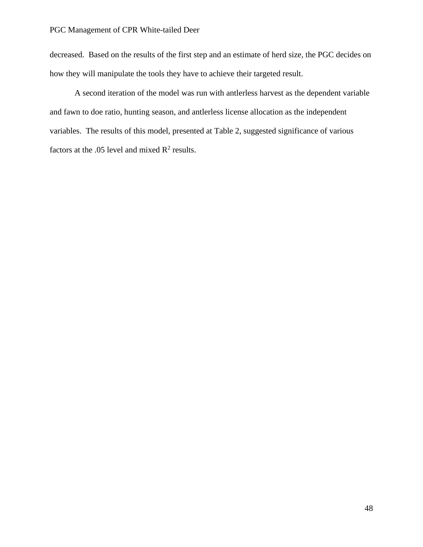decreased. Based on the results of the first step and an estimate of herd size, the PGC decides on how they will manipulate the tools they have to achieve their targeted result.

A second iteration of the model was run with antlerless harvest as the dependent variable and fawn to doe ratio, hunting season, and antlerless license allocation as the independent variables. The results of this model, presented at Table 2, suggested significance of various factors at the .05 level and mixed  $\mathbb{R}^2$  results.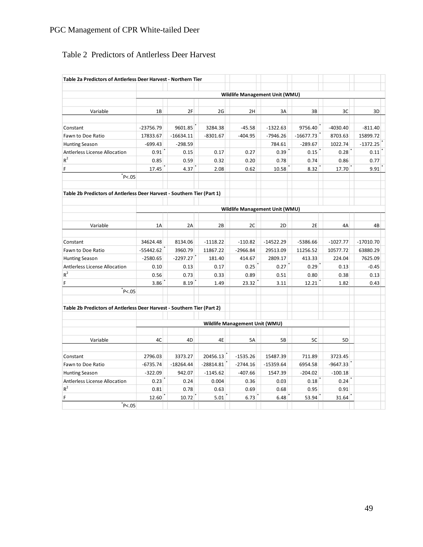# Table 2 Predictors of Antlerless Deer Harvest

| Table 2a Predictors of Antlerless Deer Harvest - Northern Tier          |             |             |             |                                |                                |             |                |             |  |
|-------------------------------------------------------------------------|-------------|-------------|-------------|--------------------------------|--------------------------------|-------------|----------------|-------------|--|
|                                                                         |             |             |             |                                |                                |             |                |             |  |
|                                                                         |             |             |             |                                | Wildlife Management Unit (WMU) |             |                |             |  |
| Variable                                                                | 1B          | 2F          | 2G          | 2H                             | 3A                             | 3B          | 3C             | 3D          |  |
| Constant                                                                | $-23756.79$ | 9601.85     | 3284.38     | $-45.58$                       | $-1322.63$                     | 9756.40     | $-4030.40$     | $-811.40$   |  |
| Fawn to Doe Ratio                                                       | 17833.67    | $-16634.11$ | $-8301.67$  | $-404.95$                      | $-7946.26$                     | $-16677.73$ | 8703.63        | 15899.72    |  |
| <b>Hunting Season</b>                                                   | $-699.43$   | $-298.59$   |             |                                | 784.61                         | $-289.67$   | 1022.74        | $-1372.25$  |  |
| Antlerless License Allocation                                           | 0.91        | 0.15        | 0.17        | 0.27                           | 0.39                           | 0.15        | 0.28           | 0.11        |  |
| $\rm R^2$                                                               | 0.85        | 0.59        | 0.32        | 0.20                           | 0.78                           | 0.74        | 0.86           | 0.77        |  |
| F                                                                       | 17.45       | 4.37        | 2.08        | 0.62                           | 10.58                          | 8.32        | 17.70          | 9.91        |  |
| P< 0.05                                                                 |             |             |             |                                |                                |             |                |             |  |
| Table 2b Predictors of Antlerless Deer Harvest - Southern Tier (Part 1) |             |             |             |                                |                                |             |                |             |  |
|                                                                         |             |             |             |                                |                                |             |                |             |  |
|                                                                         |             |             |             |                                | Wildlife Management Unit (WMU) |             |                |             |  |
| Variable                                                                | 1A          | 2A          | 2B          | 2C                             | 2D                             | 2E          | 4A             | 4B          |  |
| Constant                                                                | 34624.48    | 8134.06     | $-1118.22$  | $-110.82$                      | $-14522.29$                    | $-5386.66$  | $-1027.77$     | $-17010.70$ |  |
| Fawn to Doe Ratio                                                       | $-55442.62$ | 3960.79     | 11867.22    | $-2966.84$                     | 29513.09                       | 11256.52    | 10577.72       | 63880.29    |  |
| <b>Hunting Season</b>                                                   | $-2580.65$  | $-2297.27$  | 181.40      | 414.67                         | 2809.17                        | 413.33      | 224.04         | 7625.09     |  |
| Antlerless License Allocation                                           | 0.10        | 0.13        | 0.17        | 0.25                           | 0.27                           | 0.29        | 0.13           | $-0.45$     |  |
| $R^2$                                                                   | 0.56        | 0.73        | 0.33        | 0.89                           | 0.51                           | 0.80        | 0.38           | 0.13        |  |
| F                                                                       | 3.86        | 8.19        | 1.49        | 23.32                          | 3.11                           | 12.21       | 1.82           | 0.43        |  |
| P<.05                                                                   |             |             |             |                                |                                |             |                |             |  |
| Table 2b Predictors of Antlerless Deer Harvest - Southern Tier (Part 2) |             |             |             |                                |                                |             |                |             |  |
|                                                                         |             |             |             |                                |                                |             |                |             |  |
|                                                                         |             |             |             | Wildlife Management Unit (WMU) |                                |             |                |             |  |
| Variable                                                                | 4C          | 4D          | 4E          | 5A                             | 5B                             | 5C          | 5 <sub>D</sub> |             |  |
|                                                                         |             |             |             |                                |                                |             |                |             |  |
| Constant                                                                | 2796.03     | 3373.27     | 20456.13    | $-1535.26$                     | 15487.39                       | 711.89      | 3723.45        |             |  |
| Fawn to Doe Ratio                                                       | $-6735.74$  | $-18264.44$ | $-28814.81$ | $-2744.16$                     | $-15359.64$                    | 6954.58     | $-9647.33$     |             |  |
| <b>Hunting Season</b>                                                   | $-322.09$   | 942.07      | $-1145.62$  | $-407.66$                      | 1547.39                        | $-204.02$   | $-100.18$      |             |  |
| Antlerless License Allocation<br>$\rm R^2$                              | 0.23        | 0.24        | 0.004       | 0.36                           | 0.03                           | 0.18        | 0.24           |             |  |
|                                                                         | 0.81        | 0.78        | 0.63        | 0.69                           | 0.68                           | 0.95        | 0.91           |             |  |
| F                                                                       | 12.60       | 10.72       | 5.01        | 6.73                           | 6.48                           | 53.94       | 31.64          |             |  |
| P< 0.05                                                                 |             |             |             |                                |                                |             |                |             |  |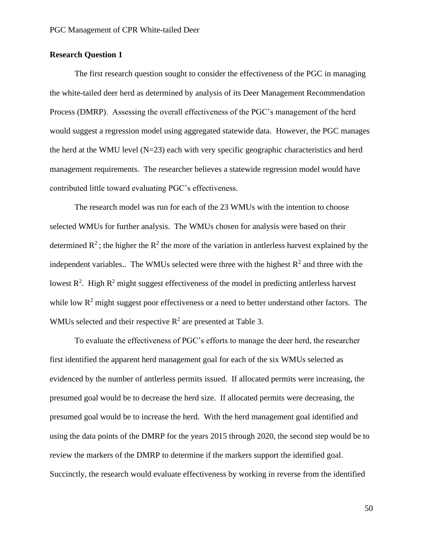# **Research Question 1**

The first research question sought to consider the effectiveness of the PGC in managing the white-tailed deer herd as determined by analysis of its Deer Management Recommendation Process (DMRP). Assessing the overall effectiveness of the PGC's management of the herd would suggest a regression model using aggregated statewide data. However, the PGC manages the herd at the WMU level (N=23) each with very specific geographic characteristics and herd management requirements. The researcher believes a statewide regression model would have contributed little toward evaluating PGC's effectiveness.

The research model was run for each of the 23 WMUs with the intention to choose selected WMUs for further analysis. The WMUs chosen for analysis were based on their determined  $R^2$ ; the higher the  $R^2$  the more of the variation in antlerless harvest explained by the independent variables.. The WMUs selected were three with the highest  $R^2$  and three with the lowest  $\mathbb{R}^2$ . High  $\mathbb{R}^2$  might suggest effectiveness of the model in predicting antlerless harvest while low  $R^2$  might suggest poor effectiveness or a need to better understand other factors. The WMUs selected and their respective  $\mathbb{R}^2$  are presented at Table 3.

To evaluate the effectiveness of PGC's efforts to manage the deer herd, the researcher first identified the apparent herd management goal for each of the six WMUs selected as evidenced by the number of antlerless permits issued. If allocated permits were increasing, the presumed goal would be to decrease the herd size. If allocated permits were decreasing, the presumed goal would be to increase the herd. With the herd management goal identified and using the data points of the DMRP for the years 2015 through 2020, the second step would be to review the markers of the DMRP to determine if the markers support the identified goal. Succinctly, the research would evaluate effectiveness by working in reverse from the identified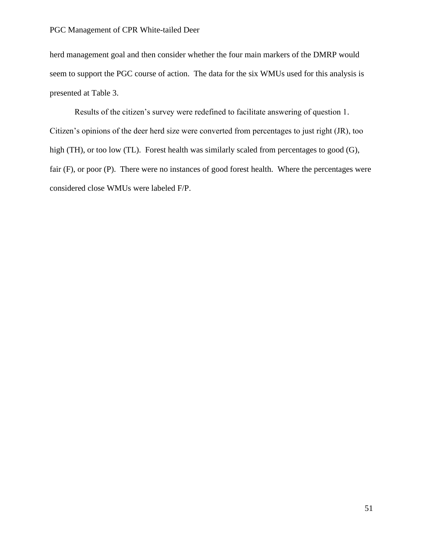herd management goal and then consider whether the four main markers of the DMRP would seem to support the PGC course of action. The data for the six WMUs used for this analysis is presented at Table 3.

Results of the citizen's survey were redefined to facilitate answering of question 1. Citizen's opinions of the deer herd size were converted from percentages to just right (JR), too high (TH), or too low (TL). Forest health was similarly scaled from percentages to good (G), fair (F), or poor (P). There were no instances of good forest health. Where the percentages were considered close WMUs were labeled F/P.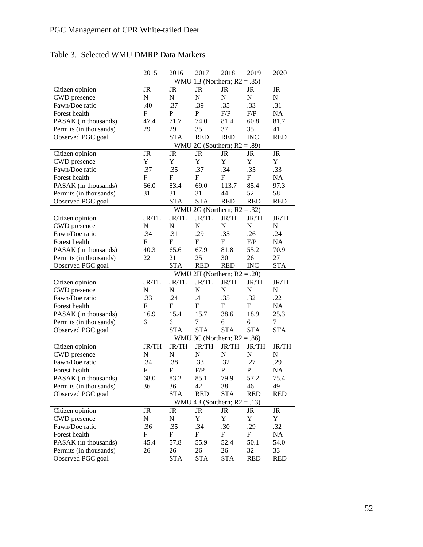| 1B (Northern; $R2 = .85$ )<br>WMU<br>Citizen opinion<br>JR<br>JR<br>JR<br>JR<br>JR<br>JR<br>$\mathbf N$<br>$\mathbf N$<br>$\mathbf N$<br>$\mathbf N$<br>N<br>N<br>CWD presence<br>.35<br>Fawn/Doe ratio<br>.40<br>.37<br>.39<br>.33<br>.31<br>F<br>$\mathbf P$<br>$\mathbf P$<br>F/P<br>F/P<br>NA<br>Forest health<br>81.4<br>60.8<br>PASAK (in thousands)<br>47.4<br>71.7<br>74.0<br>81.7<br>Permits (in thousands)<br>29<br>35<br>37<br>35<br>29<br>41<br>Observed PGC goal<br><b>STA</b><br><b>RED</b><br><b>RED</b><br><b>INC</b><br><b>RED</b><br>2C (Southern; $R2 = .89$ )<br>WMU<br>Citizen opinion<br>JR<br>JR<br>JR<br>JR<br>JR<br>JR<br>Y<br>Y<br>Y<br>Y<br>Y<br>Y<br>CWD presence<br>.34<br>Fawn/Doe ratio<br>.37<br>.35<br>.37<br>.35<br>.33<br>${\rm F}$<br>${\bf F}$<br>${\bf F}$<br>$\mathbf F$<br>${\rm F}$<br>Forest health<br>NA<br>66.0<br>83.4<br>69.0<br>113.7<br>85.4<br>97.3<br>PASAK (in thousands)<br>31<br>31<br>52<br>Permits (in thousands)<br>31<br>44<br>58<br>Observed PGC goal<br><b>STA</b><br><b>STA</b><br><b>RED</b><br><b>RED</b><br><b>RED</b><br>WMU 2G (Northern; $R2 = .32$ )<br>JR/TL<br>Citizen opinion<br>JR/TL<br>JR/TL<br>JR/TL<br>JR/TL<br>JR/TL<br>$\mathbf N$<br>N<br>$\mathbf N$<br>$\mathbf N$<br>N<br>$\mathbf N$<br>CWD presence<br>Fawn/Doe ratio<br>.34<br>.31<br>.29<br>.35<br>.26<br>.24<br>F<br>F<br>$\mathbf{F}$<br>$\mathbf F$<br>F/P<br>NA<br>Forest health<br>67.9<br>55.2<br>70.9<br>PASAK (in thousands)<br>40.3<br>65.6<br>81.8<br>21<br>25<br>30<br>27<br>Permits (in thousands)<br>22<br>26<br><b>RED</b><br>Observed PGC goal<br><b>STA</b><br><b>RED</b><br><b>INC</b><br><b>STA</b><br>WMU 2H (Northern; $R2 = .20$ )<br>Citizen opinion<br>JR/TL<br>JR/TL<br>JR/TL<br>JR/TL<br>JR/TL<br>JR/TL<br>N<br>$\mathbf N$<br>$\mathbf N$<br>$\mathbf N$<br>N<br>CWD presence<br>N<br>Fawn/Doe ratio<br>.33<br>.24<br>.4<br>.35<br>.22<br>.32<br>F<br>$\mathbf F$<br>F<br>Forest health<br>F<br>$\mathbf{F}$<br>NA<br>38.6<br>16.9<br>15.4<br>15.7<br>18.9<br>25.3<br>PASAK (in thousands)<br>Permits (in thousands)<br>6<br>7<br>6<br>6<br>7<br>6<br><b>STA</b><br><b>STA</b><br><b>STA</b><br>Observed PGC goal<br><b>STA</b><br><b>STA</b><br>WMU 3C (Northern; $R2 = .86$ )<br>JR/TH<br>JR/TH<br>JR/TH<br>JR/TH<br>JR/TH<br>JR/TH<br>Citizen opinion<br>$\mathbf N$<br>N<br>$\mathbf N$<br>$\mathbf N$<br>N<br>${\bf N}$<br>CWD presence<br>Fawn/Doe ratio<br>.34<br>.33<br>.32<br>.38<br>.27<br>.29<br>F<br>F<br>$\mathbf P$<br>P<br>NA<br>Forest health<br>F/P<br>79.9<br>83.2<br>57.2<br>75.4<br>PASAK (in thousands)<br>68.0<br>85.1<br>42<br>38<br>49<br>Permits (in thousands)<br>36<br>46<br>36<br><b>STA</b><br><b>RED</b><br><b>STA</b><br>Observed PGC goal<br>RED<br>RED<br>4B (Southern; $R2 = .13$ )<br>WMU<br>JR<br>JR<br>JR<br>JR<br>JR<br>JR<br>Citizen opinion<br>$\mathbf Y$<br>N<br>${\bf N}$<br>Y<br>Y<br>Y<br>CWD presence<br>.36<br>.35<br>.34<br>.30<br>.29<br>Fawn/Doe ratio<br>.32<br>${\bf F}$<br>Forest health<br>F<br>$\boldsymbol{\mathrm{F}}$<br>F<br>F<br>NA<br>55.9<br>52.4<br>57.8<br>50.1<br>PASAK (in thousands)<br>45.4<br>54.0<br>26<br>32<br>Permits (in thousands)<br>26<br>26<br>33<br>26 |                   | 2015 | 2016       | 2017       | 2018       | 2019       | 2020       |
|------------------------------------------------------------------------------------------------------------------------------------------------------------------------------------------------------------------------------------------------------------------------------------------------------------------------------------------------------------------------------------------------------------------------------------------------------------------------------------------------------------------------------------------------------------------------------------------------------------------------------------------------------------------------------------------------------------------------------------------------------------------------------------------------------------------------------------------------------------------------------------------------------------------------------------------------------------------------------------------------------------------------------------------------------------------------------------------------------------------------------------------------------------------------------------------------------------------------------------------------------------------------------------------------------------------------------------------------------------------------------------------------------------------------------------------------------------------------------------------------------------------------------------------------------------------------------------------------------------------------------------------------------------------------------------------------------------------------------------------------------------------------------------------------------------------------------------------------------------------------------------------------------------------------------------------------------------------------------------------------------------------------------------------------------------------------------------------------------------------------------------------------------------------------------------------------------------------------------------------------------------------------------------------------------------------------------------------------------------------------------------------------------------------------------------------------------------------------------------------------------------------------------------------------------------------------------------------------------------------------------------------------------------------------------------------------------------------------------------------------------------------------------------------------------------------------------------------------------------------------------------------------------------------------------------------------------------------------------------------------------------------------------------------------------------------------------------------------------------------------------------------------------------------------------------------------------|-------------------|------|------------|------------|------------|------------|------------|
|                                                                                                                                                                                                                                                                                                                                                                                                                                                                                                                                                                                                                                                                                                                                                                                                                                                                                                                                                                                                                                                                                                                                                                                                                                                                                                                                                                                                                                                                                                                                                                                                                                                                                                                                                                                                                                                                                                                                                                                                                                                                                                                                                                                                                                                                                                                                                                                                                                                                                                                                                                                                                                                                                                                                                                                                                                                                                                                                                                                                                                                                                                                                                                                                      |                   |      |            |            |            |            |            |
|                                                                                                                                                                                                                                                                                                                                                                                                                                                                                                                                                                                                                                                                                                                                                                                                                                                                                                                                                                                                                                                                                                                                                                                                                                                                                                                                                                                                                                                                                                                                                                                                                                                                                                                                                                                                                                                                                                                                                                                                                                                                                                                                                                                                                                                                                                                                                                                                                                                                                                                                                                                                                                                                                                                                                                                                                                                                                                                                                                                                                                                                                                                                                                                                      |                   |      |            |            |            |            |            |
|                                                                                                                                                                                                                                                                                                                                                                                                                                                                                                                                                                                                                                                                                                                                                                                                                                                                                                                                                                                                                                                                                                                                                                                                                                                                                                                                                                                                                                                                                                                                                                                                                                                                                                                                                                                                                                                                                                                                                                                                                                                                                                                                                                                                                                                                                                                                                                                                                                                                                                                                                                                                                                                                                                                                                                                                                                                                                                                                                                                                                                                                                                                                                                                                      |                   |      |            |            |            |            |            |
|                                                                                                                                                                                                                                                                                                                                                                                                                                                                                                                                                                                                                                                                                                                                                                                                                                                                                                                                                                                                                                                                                                                                                                                                                                                                                                                                                                                                                                                                                                                                                                                                                                                                                                                                                                                                                                                                                                                                                                                                                                                                                                                                                                                                                                                                                                                                                                                                                                                                                                                                                                                                                                                                                                                                                                                                                                                                                                                                                                                                                                                                                                                                                                                                      |                   |      |            |            |            |            |            |
|                                                                                                                                                                                                                                                                                                                                                                                                                                                                                                                                                                                                                                                                                                                                                                                                                                                                                                                                                                                                                                                                                                                                                                                                                                                                                                                                                                                                                                                                                                                                                                                                                                                                                                                                                                                                                                                                                                                                                                                                                                                                                                                                                                                                                                                                                                                                                                                                                                                                                                                                                                                                                                                                                                                                                                                                                                                                                                                                                                                                                                                                                                                                                                                                      |                   |      |            |            |            |            |            |
|                                                                                                                                                                                                                                                                                                                                                                                                                                                                                                                                                                                                                                                                                                                                                                                                                                                                                                                                                                                                                                                                                                                                                                                                                                                                                                                                                                                                                                                                                                                                                                                                                                                                                                                                                                                                                                                                                                                                                                                                                                                                                                                                                                                                                                                                                                                                                                                                                                                                                                                                                                                                                                                                                                                                                                                                                                                                                                                                                                                                                                                                                                                                                                                                      |                   |      |            |            |            |            |            |
|                                                                                                                                                                                                                                                                                                                                                                                                                                                                                                                                                                                                                                                                                                                                                                                                                                                                                                                                                                                                                                                                                                                                                                                                                                                                                                                                                                                                                                                                                                                                                                                                                                                                                                                                                                                                                                                                                                                                                                                                                                                                                                                                                                                                                                                                                                                                                                                                                                                                                                                                                                                                                                                                                                                                                                                                                                                                                                                                                                                                                                                                                                                                                                                                      |                   |      |            |            |            |            |            |
|                                                                                                                                                                                                                                                                                                                                                                                                                                                                                                                                                                                                                                                                                                                                                                                                                                                                                                                                                                                                                                                                                                                                                                                                                                                                                                                                                                                                                                                                                                                                                                                                                                                                                                                                                                                                                                                                                                                                                                                                                                                                                                                                                                                                                                                                                                                                                                                                                                                                                                                                                                                                                                                                                                                                                                                                                                                                                                                                                                                                                                                                                                                                                                                                      |                   |      |            |            |            |            |            |
|                                                                                                                                                                                                                                                                                                                                                                                                                                                                                                                                                                                                                                                                                                                                                                                                                                                                                                                                                                                                                                                                                                                                                                                                                                                                                                                                                                                                                                                                                                                                                                                                                                                                                                                                                                                                                                                                                                                                                                                                                                                                                                                                                                                                                                                                                                                                                                                                                                                                                                                                                                                                                                                                                                                                                                                                                                                                                                                                                                                                                                                                                                                                                                                                      |                   |      |            |            |            |            |            |
|                                                                                                                                                                                                                                                                                                                                                                                                                                                                                                                                                                                                                                                                                                                                                                                                                                                                                                                                                                                                                                                                                                                                                                                                                                                                                                                                                                                                                                                                                                                                                                                                                                                                                                                                                                                                                                                                                                                                                                                                                                                                                                                                                                                                                                                                                                                                                                                                                                                                                                                                                                                                                                                                                                                                                                                                                                                                                                                                                                                                                                                                                                                                                                                                      |                   |      |            |            |            |            |            |
|                                                                                                                                                                                                                                                                                                                                                                                                                                                                                                                                                                                                                                                                                                                                                                                                                                                                                                                                                                                                                                                                                                                                                                                                                                                                                                                                                                                                                                                                                                                                                                                                                                                                                                                                                                                                                                                                                                                                                                                                                                                                                                                                                                                                                                                                                                                                                                                                                                                                                                                                                                                                                                                                                                                                                                                                                                                                                                                                                                                                                                                                                                                                                                                                      |                   |      |            |            |            |            |            |
|                                                                                                                                                                                                                                                                                                                                                                                                                                                                                                                                                                                                                                                                                                                                                                                                                                                                                                                                                                                                                                                                                                                                                                                                                                                                                                                                                                                                                                                                                                                                                                                                                                                                                                                                                                                                                                                                                                                                                                                                                                                                                                                                                                                                                                                                                                                                                                                                                                                                                                                                                                                                                                                                                                                                                                                                                                                                                                                                                                                                                                                                                                                                                                                                      |                   |      |            |            |            |            |            |
|                                                                                                                                                                                                                                                                                                                                                                                                                                                                                                                                                                                                                                                                                                                                                                                                                                                                                                                                                                                                                                                                                                                                                                                                                                                                                                                                                                                                                                                                                                                                                                                                                                                                                                                                                                                                                                                                                                                                                                                                                                                                                                                                                                                                                                                                                                                                                                                                                                                                                                                                                                                                                                                                                                                                                                                                                                                                                                                                                                                                                                                                                                                                                                                                      |                   |      |            |            |            |            |            |
|                                                                                                                                                                                                                                                                                                                                                                                                                                                                                                                                                                                                                                                                                                                                                                                                                                                                                                                                                                                                                                                                                                                                                                                                                                                                                                                                                                                                                                                                                                                                                                                                                                                                                                                                                                                                                                                                                                                                                                                                                                                                                                                                                                                                                                                                                                                                                                                                                                                                                                                                                                                                                                                                                                                                                                                                                                                                                                                                                                                                                                                                                                                                                                                                      |                   |      |            |            |            |            |            |
|                                                                                                                                                                                                                                                                                                                                                                                                                                                                                                                                                                                                                                                                                                                                                                                                                                                                                                                                                                                                                                                                                                                                                                                                                                                                                                                                                                                                                                                                                                                                                                                                                                                                                                                                                                                                                                                                                                                                                                                                                                                                                                                                                                                                                                                                                                                                                                                                                                                                                                                                                                                                                                                                                                                                                                                                                                                                                                                                                                                                                                                                                                                                                                                                      |                   |      |            |            |            |            |            |
|                                                                                                                                                                                                                                                                                                                                                                                                                                                                                                                                                                                                                                                                                                                                                                                                                                                                                                                                                                                                                                                                                                                                                                                                                                                                                                                                                                                                                                                                                                                                                                                                                                                                                                                                                                                                                                                                                                                                                                                                                                                                                                                                                                                                                                                                                                                                                                                                                                                                                                                                                                                                                                                                                                                                                                                                                                                                                                                                                                                                                                                                                                                                                                                                      |                   |      |            |            |            |            |            |
|                                                                                                                                                                                                                                                                                                                                                                                                                                                                                                                                                                                                                                                                                                                                                                                                                                                                                                                                                                                                                                                                                                                                                                                                                                                                                                                                                                                                                                                                                                                                                                                                                                                                                                                                                                                                                                                                                                                                                                                                                                                                                                                                                                                                                                                                                                                                                                                                                                                                                                                                                                                                                                                                                                                                                                                                                                                                                                                                                                                                                                                                                                                                                                                                      |                   |      |            |            |            |            |            |
|                                                                                                                                                                                                                                                                                                                                                                                                                                                                                                                                                                                                                                                                                                                                                                                                                                                                                                                                                                                                                                                                                                                                                                                                                                                                                                                                                                                                                                                                                                                                                                                                                                                                                                                                                                                                                                                                                                                                                                                                                                                                                                                                                                                                                                                                                                                                                                                                                                                                                                                                                                                                                                                                                                                                                                                                                                                                                                                                                                                                                                                                                                                                                                                                      |                   |      |            |            |            |            |            |
|                                                                                                                                                                                                                                                                                                                                                                                                                                                                                                                                                                                                                                                                                                                                                                                                                                                                                                                                                                                                                                                                                                                                                                                                                                                                                                                                                                                                                                                                                                                                                                                                                                                                                                                                                                                                                                                                                                                                                                                                                                                                                                                                                                                                                                                                                                                                                                                                                                                                                                                                                                                                                                                                                                                                                                                                                                                                                                                                                                                                                                                                                                                                                                                                      |                   |      |            |            |            |            |            |
|                                                                                                                                                                                                                                                                                                                                                                                                                                                                                                                                                                                                                                                                                                                                                                                                                                                                                                                                                                                                                                                                                                                                                                                                                                                                                                                                                                                                                                                                                                                                                                                                                                                                                                                                                                                                                                                                                                                                                                                                                                                                                                                                                                                                                                                                                                                                                                                                                                                                                                                                                                                                                                                                                                                                                                                                                                                                                                                                                                                                                                                                                                                                                                                                      |                   |      |            |            |            |            |            |
|                                                                                                                                                                                                                                                                                                                                                                                                                                                                                                                                                                                                                                                                                                                                                                                                                                                                                                                                                                                                                                                                                                                                                                                                                                                                                                                                                                                                                                                                                                                                                                                                                                                                                                                                                                                                                                                                                                                                                                                                                                                                                                                                                                                                                                                                                                                                                                                                                                                                                                                                                                                                                                                                                                                                                                                                                                                                                                                                                                                                                                                                                                                                                                                                      |                   |      |            |            |            |            |            |
|                                                                                                                                                                                                                                                                                                                                                                                                                                                                                                                                                                                                                                                                                                                                                                                                                                                                                                                                                                                                                                                                                                                                                                                                                                                                                                                                                                                                                                                                                                                                                                                                                                                                                                                                                                                                                                                                                                                                                                                                                                                                                                                                                                                                                                                                                                                                                                                                                                                                                                                                                                                                                                                                                                                                                                                                                                                                                                                                                                                                                                                                                                                                                                                                      |                   |      |            |            |            |            |            |
|                                                                                                                                                                                                                                                                                                                                                                                                                                                                                                                                                                                                                                                                                                                                                                                                                                                                                                                                                                                                                                                                                                                                                                                                                                                                                                                                                                                                                                                                                                                                                                                                                                                                                                                                                                                                                                                                                                                                                                                                                                                                                                                                                                                                                                                                                                                                                                                                                                                                                                                                                                                                                                                                                                                                                                                                                                                                                                                                                                                                                                                                                                                                                                                                      |                   |      |            |            |            |            |            |
|                                                                                                                                                                                                                                                                                                                                                                                                                                                                                                                                                                                                                                                                                                                                                                                                                                                                                                                                                                                                                                                                                                                                                                                                                                                                                                                                                                                                                                                                                                                                                                                                                                                                                                                                                                                                                                                                                                                                                                                                                                                                                                                                                                                                                                                                                                                                                                                                                                                                                                                                                                                                                                                                                                                                                                                                                                                                                                                                                                                                                                                                                                                                                                                                      |                   |      |            |            |            |            |            |
|                                                                                                                                                                                                                                                                                                                                                                                                                                                                                                                                                                                                                                                                                                                                                                                                                                                                                                                                                                                                                                                                                                                                                                                                                                                                                                                                                                                                                                                                                                                                                                                                                                                                                                                                                                                                                                                                                                                                                                                                                                                                                                                                                                                                                                                                                                                                                                                                                                                                                                                                                                                                                                                                                                                                                                                                                                                                                                                                                                                                                                                                                                                                                                                                      |                   |      |            |            |            |            |            |
|                                                                                                                                                                                                                                                                                                                                                                                                                                                                                                                                                                                                                                                                                                                                                                                                                                                                                                                                                                                                                                                                                                                                                                                                                                                                                                                                                                                                                                                                                                                                                                                                                                                                                                                                                                                                                                                                                                                                                                                                                                                                                                                                                                                                                                                                                                                                                                                                                                                                                                                                                                                                                                                                                                                                                                                                                                                                                                                                                                                                                                                                                                                                                                                                      |                   |      |            |            |            |            |            |
|                                                                                                                                                                                                                                                                                                                                                                                                                                                                                                                                                                                                                                                                                                                                                                                                                                                                                                                                                                                                                                                                                                                                                                                                                                                                                                                                                                                                                                                                                                                                                                                                                                                                                                                                                                                                                                                                                                                                                                                                                                                                                                                                                                                                                                                                                                                                                                                                                                                                                                                                                                                                                                                                                                                                                                                                                                                                                                                                                                                                                                                                                                                                                                                                      |                   |      |            |            |            |            |            |
|                                                                                                                                                                                                                                                                                                                                                                                                                                                                                                                                                                                                                                                                                                                                                                                                                                                                                                                                                                                                                                                                                                                                                                                                                                                                                                                                                                                                                                                                                                                                                                                                                                                                                                                                                                                                                                                                                                                                                                                                                                                                                                                                                                                                                                                                                                                                                                                                                                                                                                                                                                                                                                                                                                                                                                                                                                                                                                                                                                                                                                                                                                                                                                                                      |                   |      |            |            |            |            |            |
|                                                                                                                                                                                                                                                                                                                                                                                                                                                                                                                                                                                                                                                                                                                                                                                                                                                                                                                                                                                                                                                                                                                                                                                                                                                                                                                                                                                                                                                                                                                                                                                                                                                                                                                                                                                                                                                                                                                                                                                                                                                                                                                                                                                                                                                                                                                                                                                                                                                                                                                                                                                                                                                                                                                                                                                                                                                                                                                                                                                                                                                                                                                                                                                                      |                   |      |            |            |            |            |            |
|                                                                                                                                                                                                                                                                                                                                                                                                                                                                                                                                                                                                                                                                                                                                                                                                                                                                                                                                                                                                                                                                                                                                                                                                                                                                                                                                                                                                                                                                                                                                                                                                                                                                                                                                                                                                                                                                                                                                                                                                                                                                                                                                                                                                                                                                                                                                                                                                                                                                                                                                                                                                                                                                                                                                                                                                                                                                                                                                                                                                                                                                                                                                                                                                      |                   |      |            |            |            |            |            |
|                                                                                                                                                                                                                                                                                                                                                                                                                                                                                                                                                                                                                                                                                                                                                                                                                                                                                                                                                                                                                                                                                                                                                                                                                                                                                                                                                                                                                                                                                                                                                                                                                                                                                                                                                                                                                                                                                                                                                                                                                                                                                                                                                                                                                                                                                                                                                                                                                                                                                                                                                                                                                                                                                                                                                                                                                                                                                                                                                                                                                                                                                                                                                                                                      |                   |      |            |            |            |            |            |
|                                                                                                                                                                                                                                                                                                                                                                                                                                                                                                                                                                                                                                                                                                                                                                                                                                                                                                                                                                                                                                                                                                                                                                                                                                                                                                                                                                                                                                                                                                                                                                                                                                                                                                                                                                                                                                                                                                                                                                                                                                                                                                                                                                                                                                                                                                                                                                                                                                                                                                                                                                                                                                                                                                                                                                                                                                                                                                                                                                                                                                                                                                                                                                                                      |                   |      |            |            |            |            |            |
|                                                                                                                                                                                                                                                                                                                                                                                                                                                                                                                                                                                                                                                                                                                                                                                                                                                                                                                                                                                                                                                                                                                                                                                                                                                                                                                                                                                                                                                                                                                                                                                                                                                                                                                                                                                                                                                                                                                                                                                                                                                                                                                                                                                                                                                                                                                                                                                                                                                                                                                                                                                                                                                                                                                                                                                                                                                                                                                                                                                                                                                                                                                                                                                                      |                   |      |            |            |            |            |            |
|                                                                                                                                                                                                                                                                                                                                                                                                                                                                                                                                                                                                                                                                                                                                                                                                                                                                                                                                                                                                                                                                                                                                                                                                                                                                                                                                                                                                                                                                                                                                                                                                                                                                                                                                                                                                                                                                                                                                                                                                                                                                                                                                                                                                                                                                                                                                                                                                                                                                                                                                                                                                                                                                                                                                                                                                                                                                                                                                                                                                                                                                                                                                                                                                      |                   |      |            |            |            |            |            |
|                                                                                                                                                                                                                                                                                                                                                                                                                                                                                                                                                                                                                                                                                                                                                                                                                                                                                                                                                                                                                                                                                                                                                                                                                                                                                                                                                                                                                                                                                                                                                                                                                                                                                                                                                                                                                                                                                                                                                                                                                                                                                                                                                                                                                                                                                                                                                                                                                                                                                                                                                                                                                                                                                                                                                                                                                                                                                                                                                                                                                                                                                                                                                                                                      |                   |      |            |            |            |            |            |
|                                                                                                                                                                                                                                                                                                                                                                                                                                                                                                                                                                                                                                                                                                                                                                                                                                                                                                                                                                                                                                                                                                                                                                                                                                                                                                                                                                                                                                                                                                                                                                                                                                                                                                                                                                                                                                                                                                                                                                                                                                                                                                                                                                                                                                                                                                                                                                                                                                                                                                                                                                                                                                                                                                                                                                                                                                                                                                                                                                                                                                                                                                                                                                                                      |                   |      |            |            |            |            |            |
|                                                                                                                                                                                                                                                                                                                                                                                                                                                                                                                                                                                                                                                                                                                                                                                                                                                                                                                                                                                                                                                                                                                                                                                                                                                                                                                                                                                                                                                                                                                                                                                                                                                                                                                                                                                                                                                                                                                                                                                                                                                                                                                                                                                                                                                                                                                                                                                                                                                                                                                                                                                                                                                                                                                                                                                                                                                                                                                                                                                                                                                                                                                                                                                                      |                   |      |            |            |            |            |            |
|                                                                                                                                                                                                                                                                                                                                                                                                                                                                                                                                                                                                                                                                                                                                                                                                                                                                                                                                                                                                                                                                                                                                                                                                                                                                                                                                                                                                                                                                                                                                                                                                                                                                                                                                                                                                                                                                                                                                                                                                                                                                                                                                                                                                                                                                                                                                                                                                                                                                                                                                                                                                                                                                                                                                                                                                                                                                                                                                                                                                                                                                                                                                                                                                      |                   |      |            |            |            |            |            |
|                                                                                                                                                                                                                                                                                                                                                                                                                                                                                                                                                                                                                                                                                                                                                                                                                                                                                                                                                                                                                                                                                                                                                                                                                                                                                                                                                                                                                                                                                                                                                                                                                                                                                                                                                                                                                                                                                                                                                                                                                                                                                                                                                                                                                                                                                                                                                                                                                                                                                                                                                                                                                                                                                                                                                                                                                                                                                                                                                                                                                                                                                                                                                                                                      |                   |      |            |            |            |            |            |
|                                                                                                                                                                                                                                                                                                                                                                                                                                                                                                                                                                                                                                                                                                                                                                                                                                                                                                                                                                                                                                                                                                                                                                                                                                                                                                                                                                                                                                                                                                                                                                                                                                                                                                                                                                                                                                                                                                                                                                                                                                                                                                                                                                                                                                                                                                                                                                                                                                                                                                                                                                                                                                                                                                                                                                                                                                                                                                                                                                                                                                                                                                                                                                                                      |                   |      |            |            |            |            |            |
|                                                                                                                                                                                                                                                                                                                                                                                                                                                                                                                                                                                                                                                                                                                                                                                                                                                                                                                                                                                                                                                                                                                                                                                                                                                                                                                                                                                                                                                                                                                                                                                                                                                                                                                                                                                                                                                                                                                                                                                                                                                                                                                                                                                                                                                                                                                                                                                                                                                                                                                                                                                                                                                                                                                                                                                                                                                                                                                                                                                                                                                                                                                                                                                                      |                   |      |            |            |            |            |            |
|                                                                                                                                                                                                                                                                                                                                                                                                                                                                                                                                                                                                                                                                                                                                                                                                                                                                                                                                                                                                                                                                                                                                                                                                                                                                                                                                                                                                                                                                                                                                                                                                                                                                                                                                                                                                                                                                                                                                                                                                                                                                                                                                                                                                                                                                                                                                                                                                                                                                                                                                                                                                                                                                                                                                                                                                                                                                                                                                                                                                                                                                                                                                                                                                      |                   |      |            |            |            |            |            |
|                                                                                                                                                                                                                                                                                                                                                                                                                                                                                                                                                                                                                                                                                                                                                                                                                                                                                                                                                                                                                                                                                                                                                                                                                                                                                                                                                                                                                                                                                                                                                                                                                                                                                                                                                                                                                                                                                                                                                                                                                                                                                                                                                                                                                                                                                                                                                                                                                                                                                                                                                                                                                                                                                                                                                                                                                                                                                                                                                                                                                                                                                                                                                                                                      |                   |      |            |            |            |            |            |
|                                                                                                                                                                                                                                                                                                                                                                                                                                                                                                                                                                                                                                                                                                                                                                                                                                                                                                                                                                                                                                                                                                                                                                                                                                                                                                                                                                                                                                                                                                                                                                                                                                                                                                                                                                                                                                                                                                                                                                                                                                                                                                                                                                                                                                                                                                                                                                                                                                                                                                                                                                                                                                                                                                                                                                                                                                                                                                                                                                                                                                                                                                                                                                                                      |                   |      |            |            |            |            |            |
|                                                                                                                                                                                                                                                                                                                                                                                                                                                                                                                                                                                                                                                                                                                                                                                                                                                                                                                                                                                                                                                                                                                                                                                                                                                                                                                                                                                                                                                                                                                                                                                                                                                                                                                                                                                                                                                                                                                                                                                                                                                                                                                                                                                                                                                                                                                                                                                                                                                                                                                                                                                                                                                                                                                                                                                                                                                                                                                                                                                                                                                                                                                                                                                                      |                   |      |            |            |            |            |            |
|                                                                                                                                                                                                                                                                                                                                                                                                                                                                                                                                                                                                                                                                                                                                                                                                                                                                                                                                                                                                                                                                                                                                                                                                                                                                                                                                                                                                                                                                                                                                                                                                                                                                                                                                                                                                                                                                                                                                                                                                                                                                                                                                                                                                                                                                                                                                                                                                                                                                                                                                                                                                                                                                                                                                                                                                                                                                                                                                                                                                                                                                                                                                                                                                      |                   |      |            |            |            |            |            |
|                                                                                                                                                                                                                                                                                                                                                                                                                                                                                                                                                                                                                                                                                                                                                                                                                                                                                                                                                                                                                                                                                                                                                                                                                                                                                                                                                                                                                                                                                                                                                                                                                                                                                                                                                                                                                                                                                                                                                                                                                                                                                                                                                                                                                                                                                                                                                                                                                                                                                                                                                                                                                                                                                                                                                                                                                                                                                                                                                                                                                                                                                                                                                                                                      |                   |      |            |            |            |            |            |
|                                                                                                                                                                                                                                                                                                                                                                                                                                                                                                                                                                                                                                                                                                                                                                                                                                                                                                                                                                                                                                                                                                                                                                                                                                                                                                                                                                                                                                                                                                                                                                                                                                                                                                                                                                                                                                                                                                                                                                                                                                                                                                                                                                                                                                                                                                                                                                                                                                                                                                                                                                                                                                                                                                                                                                                                                                                                                                                                                                                                                                                                                                                                                                                                      |                   |      |            |            |            |            |            |
|                                                                                                                                                                                                                                                                                                                                                                                                                                                                                                                                                                                                                                                                                                                                                                                                                                                                                                                                                                                                                                                                                                                                                                                                                                                                                                                                                                                                                                                                                                                                                                                                                                                                                                                                                                                                                                                                                                                                                                                                                                                                                                                                                                                                                                                                                                                                                                                                                                                                                                                                                                                                                                                                                                                                                                                                                                                                                                                                                                                                                                                                                                                                                                                                      | Observed PGC goal |      | <b>STA</b> | <b>STA</b> | <b>STA</b> | <b>RED</b> | <b>RED</b> |

# Table 3. Selected WMU DMRP Data Markers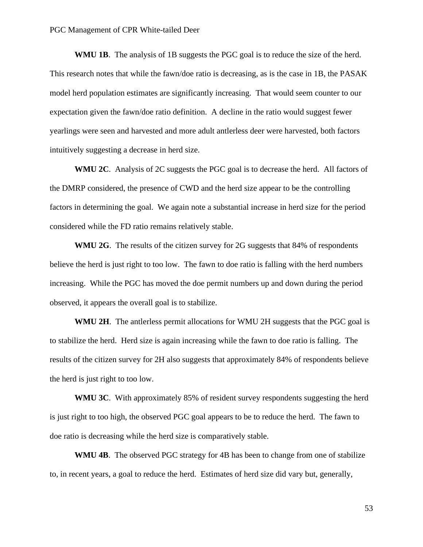**WMU 1B**. The analysis of 1B suggests the PGC goal is to reduce the size of the herd. This research notes that while the fawn/doe ratio is decreasing, as is the case in 1B, the PASAK model herd population estimates are significantly increasing. That would seem counter to our expectation given the fawn/doe ratio definition. A decline in the ratio would suggest fewer yearlings were seen and harvested and more adult antlerless deer were harvested, both factors intuitively suggesting a decrease in herd size.

**WMU 2C**. Analysis of 2C suggests the PGC goal is to decrease the herd. All factors of the DMRP considered, the presence of CWD and the herd size appear to be the controlling factors in determining the goal. We again note a substantial increase in herd size for the period considered while the FD ratio remains relatively stable.

**WMU 2G**. The results of the citizen survey for 2G suggests that 84% of respondents believe the herd is just right to too low. The fawn to doe ratio is falling with the herd numbers increasing. While the PGC has moved the doe permit numbers up and down during the period observed, it appears the overall goal is to stabilize.

**WMU 2H**. The antlerless permit allocations for WMU 2H suggests that the PGC goal is to stabilize the herd. Herd size is again increasing while the fawn to doe ratio is falling. The results of the citizen survey for 2H also suggests that approximately 84% of respondents believe the herd is just right to too low.

**WMU 3C**. With approximately 85% of resident survey respondents suggesting the herd is just right to too high, the observed PGC goal appears to be to reduce the herd. The fawn to doe ratio is decreasing while the herd size is comparatively stable.

**WMU 4B**. The observed PGC strategy for 4B has been to change from one of stabilize to, in recent years, a goal to reduce the herd. Estimates of herd size did vary but, generally,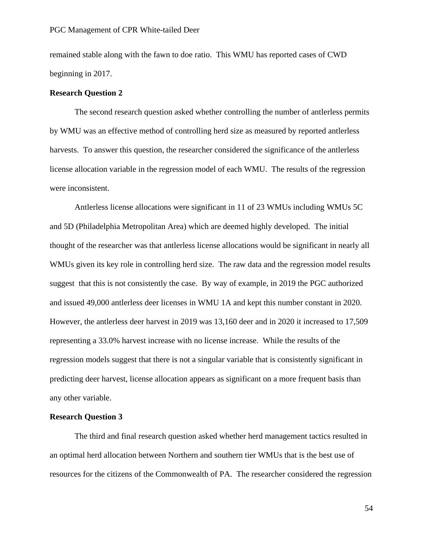remained stable along with the fawn to doe ratio. This WMU has reported cases of CWD beginning in 2017.

### **Research Question 2**

The second research question asked whether controlling the number of antlerless permits by WMU was an effective method of controlling herd size as measured by reported antlerless harvests. To answer this question, the researcher considered the significance of the antlerless license allocation variable in the regression model of each WMU. The results of the regression were inconsistent.

Antlerless license allocations were significant in 11 of 23 WMUs including WMUs 5C and 5D (Philadelphia Metropolitan Area) which are deemed highly developed. The initial thought of the researcher was that antlerless license allocations would be significant in nearly all WMUs given its key role in controlling herd size. The raw data and the regression model results suggest that this is not consistently the case. By way of example, in 2019 the PGC authorized and issued 49,000 antlerless deer licenses in WMU 1A and kept this number constant in 2020. However, the antlerless deer harvest in 2019 was 13,160 deer and in 2020 it increased to 17,509 representing a 33.0% harvest increase with no license increase. While the results of the regression models suggest that there is not a singular variable that is consistently significant in predicting deer harvest, license allocation appears as significant on a more frequent basis than any other variable.

### **Research Question 3**

The third and final research question asked whether herd management tactics resulted in an optimal herd allocation between Northern and southern tier WMUs that is the best use of resources for the citizens of the Commonwealth of PA. The researcher considered the regression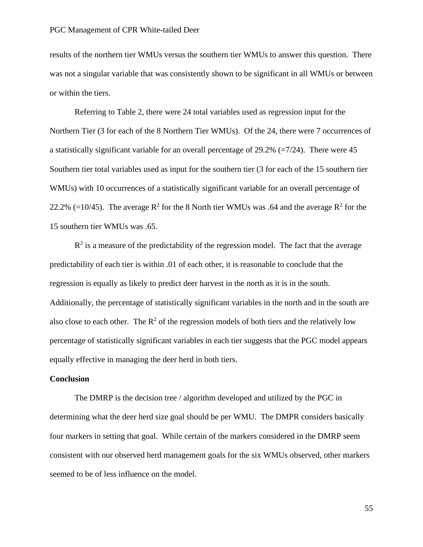results of the northern tier WMUs versus the southern tier WMUs to answer this question. There was not a singular variable that was consistently shown to be significant in all WMUs or between or within the tiers.

Referring to Table 2, there were 24 total variables used as regression input for the Northern Tier (3 for each of the 8 Northern Tier WMUs). Of the 24, there were 7 occurrences of a statistically significant variable for an overall percentage of  $29.2\%$  (=7/24). There were 45 Southern tier total variables used as input for the southern tier (3 for each of the 15 southern tier WMUs) with 10 occurrences of a statistically significant variable for an overall percentage of 22.2% (=10/45). The average  $R^2$  for the 8 North tier WMUs was .64 and the average  $R^2$  for the 15 southern tier WMUs was .65.

 $R<sup>2</sup>$  is a measure of the predictability of the regression model. The fact that the average predictability of each tier is within .01 of each other, it is reasonable to conclude that the regression is equally as likely to predict deer harvest in the north as it is in the south. Additionally, the percentage of statistically significant variables in the north and in the south are also close to each other. The  $R^2$  of the regression models of both tiers and the relatively low percentage of statistically significant variables in each tier suggests that the PGC model appears equally effective in managing the deer herd in both tiers.

### **Conclusion**

The DMRP is the decision tree / algorithm developed and utilized by the PGC in determining what the deer herd size goal should be per WMU. The DMPR considers basically four markers in setting that goal. While certain of the markers considered in the DMRP seem consistent with our observed herd management goals for the six WMUs observed, other markers seemed to be of less influence on the model.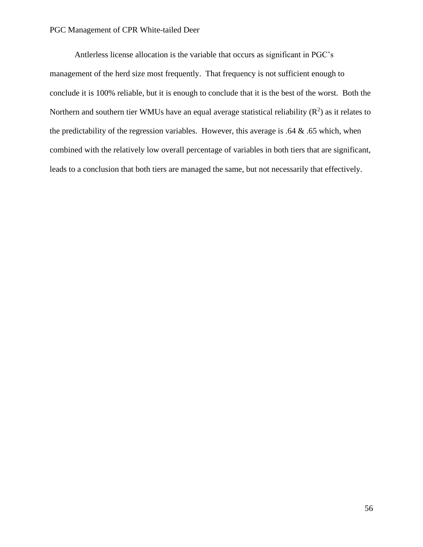Antlerless license allocation is the variable that occurs as significant in PGC's management of the herd size most frequently. That frequency is not sufficient enough to conclude it is 100% reliable, but it is enough to conclude that it is the best of the worst. Both the Northern and southern tier WMUs have an equal average statistical reliability  $(R^2)$  as it relates to the predictability of the regression variables. However, this average is .64  $\&$  .65 which, when combined with the relatively low overall percentage of variables in both tiers that are significant, leads to a conclusion that both tiers are managed the same, but not necessarily that effectively.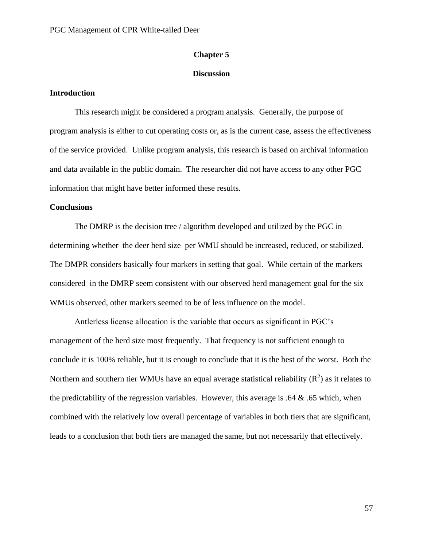### **Chapter 5**

### **Discussion**

### **Introduction**

This research might be considered a program analysis. Generally, the purpose of program analysis is either to cut operating costs or, as is the current case, assess the effectiveness of the service provided. Unlike program analysis, this research is based on archival information and data available in the public domain. The researcher did not have access to any other PGC information that might have better informed these results.

### **Conclusions**

The DMRP is the decision tree / algorithm developed and utilized by the PGC in determining whether the deer herd size per WMU should be increased, reduced, or stabilized. The DMPR considers basically four markers in setting that goal. While certain of the markers considered in the DMRP seem consistent with our observed herd management goal for the six WMUs observed, other markers seemed to be of less influence on the model.

Antlerless license allocation is the variable that occurs as significant in PGC's management of the herd size most frequently. That frequency is not sufficient enough to conclude it is 100% reliable, but it is enough to conclude that it is the best of the worst. Both the Northern and southern tier WMUs have an equal average statistical reliability  $(R^2)$  as it relates to the predictability of the regression variables. However, this average is  $.64 \& .65$  which, when combined with the relatively low overall percentage of variables in both tiers that are significant, leads to a conclusion that both tiers are managed the same, but not necessarily that effectively.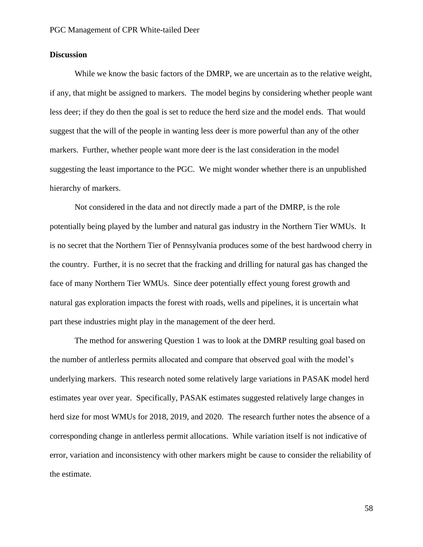# **Discussion**

While we know the basic factors of the DMRP, we are uncertain as to the relative weight, if any, that might be assigned to markers. The model begins by considering whether people want less deer; if they do then the goal is set to reduce the herd size and the model ends. That would suggest that the will of the people in wanting less deer is more powerful than any of the other markers. Further, whether people want more deer is the last consideration in the model suggesting the least importance to the PGC. We might wonder whether there is an unpublished hierarchy of markers.

Not considered in the data and not directly made a part of the DMRP, is the role potentially being played by the lumber and natural gas industry in the Northern Tier WMUs. It is no secret that the Northern Tier of Pennsylvania produces some of the best hardwood cherry in the country. Further, it is no secret that the fracking and drilling for natural gas has changed the face of many Northern Tier WMUs. Since deer potentially effect young forest growth and natural gas exploration impacts the forest with roads, wells and pipelines, it is uncertain what part these industries might play in the management of the deer herd.

The method for answering Question 1 was to look at the DMRP resulting goal based on the number of antlerless permits allocated and compare that observed goal with the model's underlying markers. This research noted some relatively large variations in PASAK model herd estimates year over year. Specifically, PASAK estimates suggested relatively large changes in herd size for most WMUs for 2018, 2019, and 2020. The research further notes the absence of a corresponding change in antlerless permit allocations. While variation itself is not indicative of error, variation and inconsistency with other markers might be cause to consider the reliability of the estimate.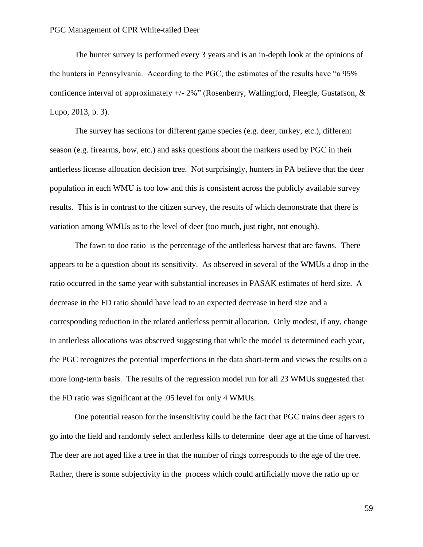The hunter survey is performed every 3 years and is an in-depth look at the opinions of the hunters in Pennsylvania. According to the PGC, the estimates of the results have "a 95% confidence interval of approximately  $+/- 2\%$ " (Rosenberry, Wallingford, Fleegle, Gustafson, & Lupo, 2013, p. 3).

The survey has sections for different game species (e.g. deer, turkey, etc.), different season (e.g. firearms, bow, etc.) and asks questions about the markers used by PGC in their antlerless license allocation decision tree. Not surprisingly, hunters in PA believe that the deer population in each WMU is too low and this is consistent across the publicly available survey results. This is in contrast to the citizen survey, the results of which demonstrate that there is variation among WMUs as to the level of deer (too much, just right, not enough).

The fawn to doe ratio is the percentage of the antlerless harvest that are fawns. There appears to be a question about its sensitivity. As observed in several of the WMUs a drop in the ratio occurred in the same year with substantial increases in PASAK estimates of herd size. A decrease in the FD ratio should have lead to an expected decrease in herd size and a corresponding reduction in the related antlerless permit allocation. Only modest, if any, change in antlerless allocations was observed suggesting that while the model is determined each year, the PGC recognizes the potential imperfections in the data short-term and views the results on a more long-term basis. The results of the regression model run for all 23 WMUs suggested that the FD ratio was significant at the .05 level for only 4 WMUs.

One potential reason for the insensitivity could be the fact that PGC trains deer agers to go into the field and randomly select antlerless kills to determine deer age at the time of harvest. The deer are not aged like a tree in that the number of rings corresponds to the age of the tree. Rather, there is some subjectivity in the process which could artificially move the ratio up or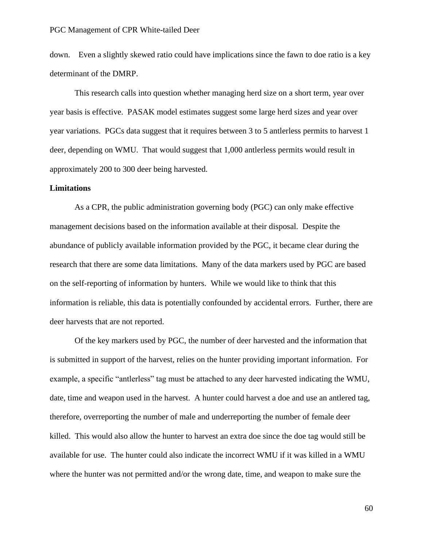down. Even a slightly skewed ratio could have implications since the fawn to doe ratio is a key determinant of the DMRP.

This research calls into question whether managing herd size on a short term, year over year basis is effective. PASAK model estimates suggest some large herd sizes and year over year variations. PGCs data suggest that it requires between 3 to 5 antlerless permits to harvest 1 deer, depending on WMU. That would suggest that 1,000 antlerless permits would result in approximately 200 to 300 deer being harvested.

### **Limitations**

As a CPR, the public administration governing body (PGC) can only make effective management decisions based on the information available at their disposal. Despite the abundance of publicly available information provided by the PGC, it became clear during the research that there are some data limitations. Many of the data markers used by PGC are based on the self-reporting of information by hunters. While we would like to think that this information is reliable, this data is potentially confounded by accidental errors. Further, there are deer harvests that are not reported.

Of the key markers used by PGC, the number of deer harvested and the information that is submitted in support of the harvest, relies on the hunter providing important information. For example, a specific "antlerless" tag must be attached to any deer harvested indicating the WMU, date, time and weapon used in the harvest. A hunter could harvest a doe and use an antlered tag, therefore, overreporting the number of male and underreporting the number of female deer killed. This would also allow the hunter to harvest an extra doe since the doe tag would still be available for use. The hunter could also indicate the incorrect WMU if it was killed in a WMU where the hunter was not permitted and/or the wrong date, time, and weapon to make sure the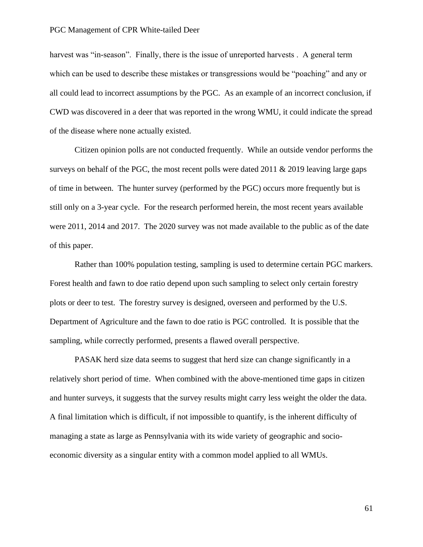harvest was "in-season". Finally, there is the issue of unreported harvests. A general term which can be used to describe these mistakes or transgressions would be "poaching" and any or all could lead to incorrect assumptions by the PGC. As an example of an incorrect conclusion, if CWD was discovered in a deer that was reported in the wrong WMU, it could indicate the spread of the disease where none actually existed.

Citizen opinion polls are not conducted frequently. While an outside vendor performs the surveys on behalf of the PGC, the most recent polls were dated  $2011 \& 2019$  leaving large gaps of time in between. The hunter survey (performed by the PGC) occurs more frequently but is still only on a 3-year cycle. For the research performed herein, the most recent years available were 2011, 2014 and 2017. The 2020 survey was not made available to the public as of the date of this paper.

Rather than 100% population testing, sampling is used to determine certain PGC markers. Forest health and fawn to doe ratio depend upon such sampling to select only certain forestry plots or deer to test. The forestry survey is designed, overseen and performed by the U.S. Department of Agriculture and the fawn to doe ratio is PGC controlled. It is possible that the sampling, while correctly performed, presents a flawed overall perspective.

PASAK herd size data seems to suggest that herd size can change significantly in a relatively short period of time. When combined with the above-mentioned time gaps in citizen and hunter surveys, it suggests that the survey results might carry less weight the older the data. A final limitation which is difficult, if not impossible to quantify, is the inherent difficulty of managing a state as large as Pennsylvania with its wide variety of geographic and socioeconomic diversity as a singular entity with a common model applied to all WMUs.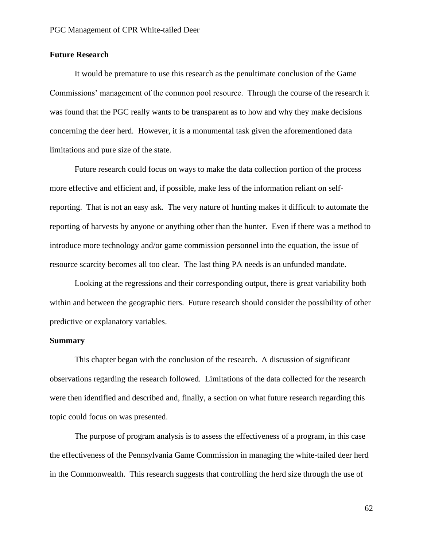# **Future Research**

It would be premature to use this research as the penultimate conclusion of the Game Commissions' management of the common pool resource. Through the course of the research it was found that the PGC really wants to be transparent as to how and why they make decisions concerning the deer herd. However, it is a monumental task given the aforementioned data limitations and pure size of the state.

Future research could focus on ways to make the data collection portion of the process more effective and efficient and, if possible, make less of the information reliant on selfreporting. That is not an easy ask. The very nature of hunting makes it difficult to automate the reporting of harvests by anyone or anything other than the hunter. Even if there was a method to introduce more technology and/or game commission personnel into the equation, the issue of resource scarcity becomes all too clear. The last thing PA needs is an unfunded mandate.

Looking at the regressions and their corresponding output, there is great variability both within and between the geographic tiers. Future research should consider the possibility of other predictive or explanatory variables.

### **Summary**

This chapter began with the conclusion of the research. A discussion of significant observations regarding the research followed. Limitations of the data collected for the research were then identified and described and, finally, a section on what future research regarding this topic could focus on was presented.

The purpose of program analysis is to assess the effectiveness of a program, in this case the effectiveness of the Pennsylvania Game Commission in managing the white-tailed deer herd in the Commonwealth. This research suggests that controlling the herd size through the use of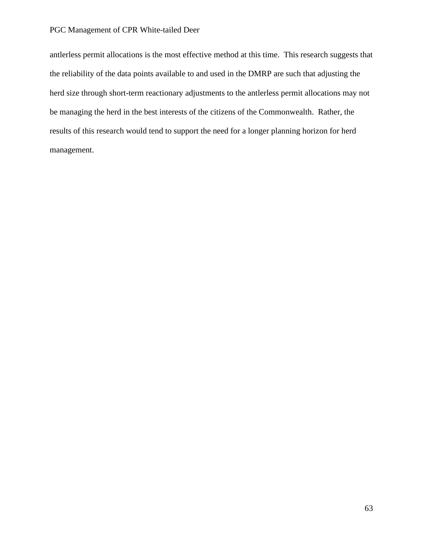antlerless permit allocations is the most effective method at this time. This research suggests that the reliability of the data points available to and used in the DMRP are such that adjusting the herd size through short-term reactionary adjustments to the antlerless permit allocations may not be managing the herd in the best interests of the citizens of the Commonwealth. Rather, the results of this research would tend to support the need for a longer planning horizon for herd management.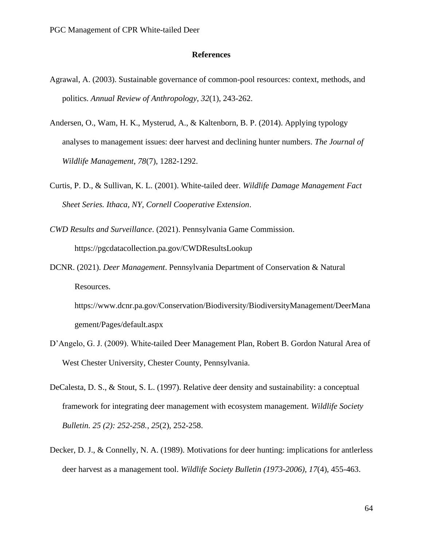### **References**

- Agrawal, A. (2003). Sustainable governance of common-pool resources: context, methods, and politics. *Annual Review of Anthropology*, *32*(1), 243-262.
- Andersen, O., Wam, H. K., Mysterud, A., & Kaltenborn, B. P. (2014). Applying typology analyses to management issues: deer harvest and declining hunter numbers. *The Journal of Wildlife Management*, *78*(7), 1282-1292.
- Curtis, P. D., & Sullivan, K. L. (2001). White-tailed deer. *Wildlife Damage Management Fact Sheet Series. Ithaca, NY, Cornell Cooperative Extension*.
- *CWD Results and Surveillance*. (2021). Pennsylvania Game Commission. https://pgcdatacollection.pa.gov/CWDResultsLookup
- DCNR. (2021). *Deer Management*. Pennsylvania Department of Conservation & Natural Resources.

https://www.dcnr.pa.gov/Conservation/Biodiversity/BiodiversityManagement/DeerMana gement/Pages/default.aspx

- D'Angelo, G. J. (2009). White-tailed Deer Management Plan, Robert B. Gordon Natural Area of West Chester University, Chester County, Pennsylvania.
- DeCalesta, D. S., & Stout, S. L. (1997). Relative deer density and sustainability: a conceptual framework for integrating deer management with ecosystem management. *Wildlife Society Bulletin. 25 (2): 252-258.*, *25*(2), 252-258.
- Decker, D. J., & Connelly, N. A. (1989). Motivations for deer hunting: implications for antlerless deer harvest as a management tool. *Wildlife Society Bulletin (1973-2006)*, *17*(4), 455-463.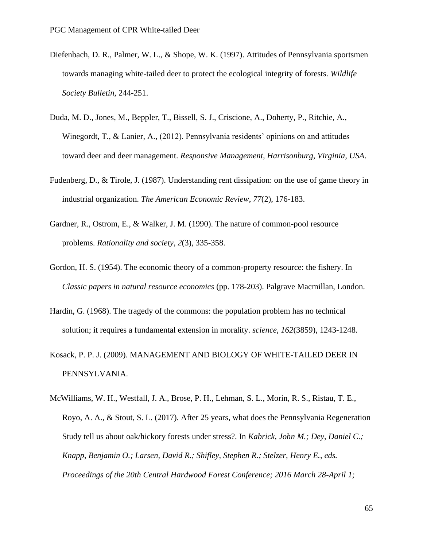- Diefenbach, D. R., Palmer, W. L., & Shope, W. K. (1997). Attitudes of Pennsylvania sportsmen towards managing white-tailed deer to protect the ecological integrity of forests. *Wildlife Society Bulletin*, 244-251.
- Duda, M. D., Jones, M., Beppler, T., Bissell, S. J., Criscione, A., Doherty, P., Ritchie, A., Winegordt, T., & Lanier, A., (2012). Pennsylvania residents' opinions on and attitudes toward deer and deer management. *Responsive Management, Harrisonburg, Virginia, USA*.
- Fudenberg, D., & Tirole, J. (1987). Understanding rent dissipation: on the use of game theory in industrial organization. *The American Economic Review*, *77*(2), 176-183.
- Gardner, R., Ostrom, E., & Walker, J. M. (1990). The nature of common-pool resource problems. *Rationality and society*, *2*(3), 335-358.
- Gordon, H. S. (1954). The economic theory of a common-property resource: the fishery. In *Classic papers in natural resource economics* (pp. 178-203). Palgrave Macmillan, London.
- Hardin, G. (1968). The tragedy of the commons: the population problem has no technical solution; it requires a fundamental extension in morality. *science*, *162*(3859), 1243-1248.
- Kosack, P. P. J. (2009). MANAGEMENT AND BIOLOGY OF WHITE-TAILED DEER IN PENNSYLVANIA.
- McWilliams, W. H., Westfall, J. A., Brose, P. H., Lehman, S. L., Morin, R. S., Ristau, T. E., Royo, A. A., & Stout, S. L. (2017). After 25 years, what does the Pennsylvania Regeneration Study tell us about oak/hickory forests under stress?. In *Kabrick, John M.; Dey, Daniel C.; Knapp, Benjamin O.; Larsen, David R.; Shifley, Stephen R.; Stelzer, Henry E., eds. Proceedings of the 20th Central Hardwood Forest Conference; 2016 March 28-April 1;*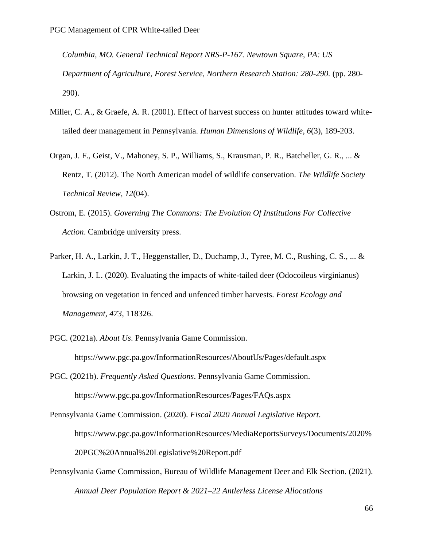*Columbia, MO. General Technical Report NRS-P-167. Newtown Square, PA: US Department of Agriculture, Forest Service, Northern Research Station: 280-290.* (pp. 280- 290).

- Miller, C. A., & Graefe, A. R. (2001). Effect of harvest success on hunter attitudes toward whitetailed deer management in Pennsylvania. *Human Dimensions of Wildlife*, *6*(3), 189-203.
- Organ, J. F., Geist, V., Mahoney, S. P., Williams, S., Krausman, P. R., Batcheller, G. R., ... & Rentz, T. (2012). The North American model of wildlife conservation. *The Wildlife Society Technical Review*, *12*(04).
- Ostrom, E. (2015). *Governing The Commons: The Evolution Of Institutions For Collective Action*. Cambridge university press.
- Parker, H. A., Larkin, J. T., Heggenstaller, D., Duchamp, J., Tyree, M. C., Rushing, C. S., ... & Larkin, J. L. (2020). Evaluating the impacts of white-tailed deer (Odocoileus virginianus) browsing on vegetation in fenced and unfenced timber harvests. *Forest Ecology and Management*, *473*, 118326.
- PGC. (2021a). *About Us*. Pennsylvania Game Commission.

https://www.pgc.pa.gov/InformationResources/AboutUs/Pages/default.aspx

PGC. (2021b). *Frequently Asked Questions*. Pennsylvania Game Commission. https://www.pgc.pa.gov/InformationResources/Pages/FAQs.aspx

Pennsylvania Game Commission. (2020). *Fiscal 2020 Annual Legislative Report*. https://www.pgc.pa.gov/InformationResources/MediaReportsSurveys/Documents/2020% 20PGC%20Annual%20Legislative%20Report.pdf

Pennsylvania Game Commission, Bureau of Wildlife Management Deer and Elk Section. (2021). *Annual Deer Population Report & 2021–22 Antlerless License Allocations*